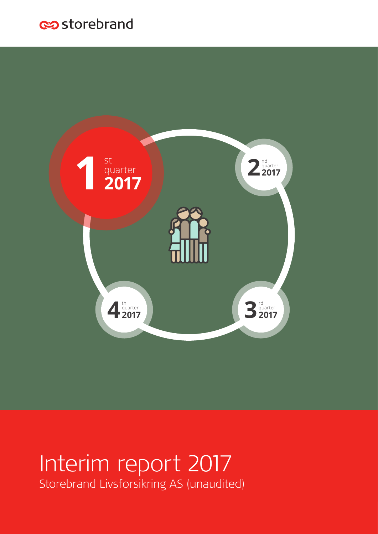# estorebrand



# Interim report 2017 Storebrand Livsforsikring AS (unaudited)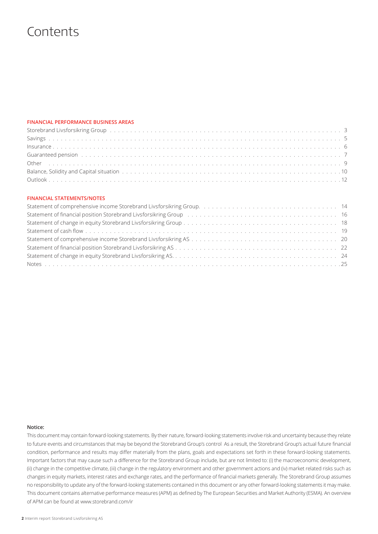## **Contents**

### **FINANCIAL PERFORMANCE BUSINESS AREAS**

| Guaranteed pension (also contained a series and also contained a series and a series of the series of the series of the series of the series of the series of the series of the series of the series of the series of the seri |
|--------------------------------------------------------------------------------------------------------------------------------------------------------------------------------------------------------------------------------|
|                                                                                                                                                                                                                                |
|                                                                                                                                                                                                                                |
|                                                                                                                                                                                                                                |

### **FINANCIAL STATEMENTS/NOTES**

| Statement of financial position Storebrand Livsforsikring Group (and all conditions of the condition of financial position Storebrand Livsforsikring Group (and all conditions of the conditions of the conditions of the cond |  |
|--------------------------------------------------------------------------------------------------------------------------------------------------------------------------------------------------------------------------------|--|
|                                                                                                                                                                                                                                |  |
|                                                                                                                                                                                                                                |  |
|                                                                                                                                                                                                                                |  |
|                                                                                                                                                                                                                                |  |
|                                                                                                                                                                                                                                |  |
|                                                                                                                                                                                                                                |  |

### **Notice:**

This document may contain forward-looking statements. By their nature, forward-looking statements involve risk and uncertainty because they relate to future events and circumstances that may be beyond the Storebrand Group's control As a result, the Storebrand Group's actual future financial condition, performance and results may differ materially from the plans, goals and expectations set forth in these forward-looking statements. Important factors that may cause such a difference for the Storebrand Group include, but are not limited to: (i) the macroeconomic development, (ii) change in the competitive climate, (iii) change in the regulatory environment and other government actions and (iv) market related risks such as changes in equity markets, interest rates and exchange rates, and the performance of financial markets generally. The Storebrand Group assumes no responsibility to update any of the forward-looking statements contained in this document or any other forward-looking statements it may make. This document contains alternative performance measures (APM) as defined by The European Securities and Market Authority (ESMA). An overview of APM can be found at www.storebrand.com/ir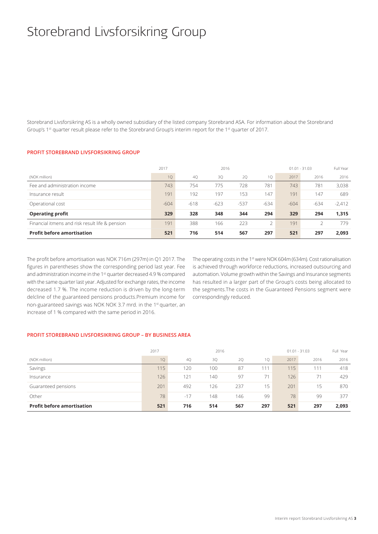## Storebrand Livsforsikring Group

Storebrand Livsforsikring AS is a wholly owned subsidiary of the listed company Storebrand ASA. For information about the Storebrand Group's 1<sup>st</sup> quarter result please refer to the Storebrand Group's interim report for the 1<sup>st</sup> quarter of 2017.

### **PROFIT STOREBRAND LIVSFORSIKRING GROUP**

|                                                 | 2017   | 2016   |        |        |        | $01.01 - 31.03$ | Full Year |          |
|-------------------------------------------------|--------|--------|--------|--------|--------|-----------------|-----------|----------|
| (NOK million)                                   | 10     | 4Q     | 3Q     | 2Q     | 1Q     | 2017            | 2016      | 2016     |
| Fee and administration income                   | 743    | 754    | 775    | 728    | 781    | 743             | 781       | 3.038    |
| Insurance result                                | 191    | 192    | 197    | 153    | 147    | 191             | 147       | 689      |
| Operational cost                                | $-604$ | $-618$ | $-623$ | $-537$ | $-634$ | $-604$          | $-634$    | $-2,412$ |
| <b>Operating profit</b>                         | 329    | 328    | 348    | 344    | 294    | 329             | 294       | 1.315    |
| Financial itmens and risk result life & pension | 191    | 388    | 166    | 223    | 2      | 191             |           | 779      |
| <b>Profit before amortisation</b>               | 521    | 716    | 514    | 567    | 297    | 521             | 297       | 2.093    |

The profit before amortisation was NOK 716m (297m) in Q1 2017. The figures in parentheses show the corresponding period last year. Fee and administration income in the 1<sup>st</sup> quarter decreased 4.9 % compared with the same quarter last year. Adjusted for exchange rates, the income decreased 1.7 %. The income reduction is driven by the long-term delcline of the guaranteed pensions products.Premium income for non-guaranteed savings was NOK NOK 3.7 mrd. in the 1st quarter, an increase of 1 % compared with the same period in 2016.

The operating costs in the 1st were NOK 604m (634m). Cost rationalisation is achieved through workforce reductions, increased outsourcing and automation. Volume growth within the Savings and Insurance segments has resulted in a larger part of the Group's costs being allocated to the segments.The costs in the Guaranteed Pensions segment were correspondingly reduced.

### **PROFIT STOREBRAND LIVSFORSIKRING GROUP – BY BUSINESS AREA**

|                                   | 2016<br>2017 |       |     |     |     |      | $01.01 - 31.03$ |       |  |
|-----------------------------------|--------------|-------|-----|-----|-----|------|-----------------|-------|--|
| (NOK million)                     | 10           | 40    | 3Q  | 2Q  | 10  | 2017 | 2016            | 2016  |  |
| Savings                           | 115          | 120   | 100 | 87  | 111 | 115  | 111             | 418   |  |
| Insurance                         | 126          | 121   | 140 | 97  | 71  | 126  | 71              | 429   |  |
| Guaranteed pensions               | 201          | 492   | 126 | 237 | 15  | 201  | 15              | 870   |  |
| Other                             | 78           | $-17$ | 148 | 146 | 99  | 78   | 99              | 377   |  |
| <b>Profit before amortisation</b> | 521          | 716   | 514 | 567 | 297 | 521  | 297             | 2,093 |  |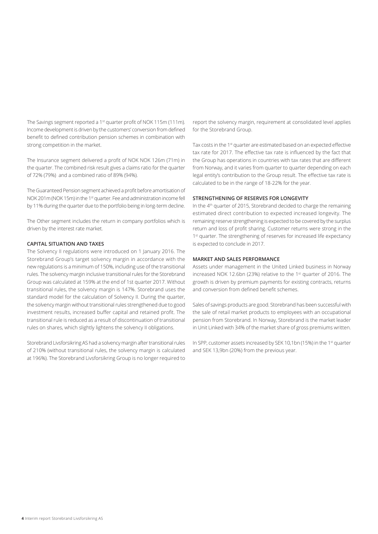The Savings segment reported a 1<sup>st</sup> quarter profit of NOK 115m (111m). Income development is driven by the customers' conversion from defined benefit to defined contribution pension schemes in combination with strong competition in the market.

The Insurance segment delivered a profit of NOK NOK 126m (71m) in the quarter. The combined risk result gives a claims ratio for the quarter of 72% (79%) and a combined ratio of 89% (94%).

The Guaranteed Pension segment achieved a profit before amortisation of NOK 201m (NOK 15m) in the 1<sup>st</sup> quarter. Fee and administration income fell by 11% during the quarter due to the portfolio being in long-term decline.

The Other segment includes the return in company portfolios which is driven by the interest rate market.

#### **CAPITAL SITUATION AND TAXES**

The Solvency II regulations were introduced on 1 January 2016. The Storebrand Group's target solvency margin in accordance with the new regulations is a minimum of 150%, including use of the transitional rules. The solvency margin inclusive transitional rules for the Storebrand Group was calculated at 159% at the end of 1st quarter 2017. Without transitional rules, the solvency margin is 147%. Storebrand uses the standard model for the calculation of Solvency II. During the quarter, the solvency margin without transitional rules strengthened due to good investment results, increased buffer capital and retained profit. The transitional rule is reduced as a result of discontinuation of transitional rules on shares, which slightly lightens the solvency II obligations.

Storebrand Livsforsikring AS had a solvency margin after transitional rules of 210% (without transitional rules, the solvency margin is calculated at 196%). The Storebrand Livsforsikring Group is no longer required to

report the solvency margin, requirement at consolidated level applies for the Storebrand Group.

Tax costs in the 1<sup>st</sup> quarter are estimated based on an expected effective tax rate for 2017. The effective tax rate is influenced by the fact that the Group has operations in countries with tax rates that are different from Norway, and it varies from quarter to quarter depending on each legal entity's contribution to the Group result. The effective tax rate is calculated to be in the range of 18-22% for the year.

### **STRENGTHENING OF RESERVES FOR LONGEVITY**

In the 4th quarter of 2015, Storebrand decided to charge the remaining estimated direct contribution to expected increased longevity. The remaining reserve strengthening is expected to be covered by the surplus return and loss of profit sharing. Customer returns were strong in the 1<sup>st</sup> quarter. The strengthening of reserves for increased life expectancy is expected to conclude in 2017.

#### **MARKET AND SALES PERFORMANCE**

Assets under management in the United Linked business in Norway increased NOK 12.6bn (23%) relative to the 1st quarter of 2016. The growth is driven by premium payments for existing contracts, returns and conversion from defined benefit schemes.

Sales of savings products are good. Storebrand has been successful with the sale of retail market products to employees with an occupational pension from Storebrand. In Norway, Storebrand is the market leader in Unit Linked with 34% of the market share of gross premiums written.

In SPP, customer assets increased by SEK 10,1bn (15%) in the 1<sup>st</sup> quarter and SEK 13,9bn (20%) from the previous year.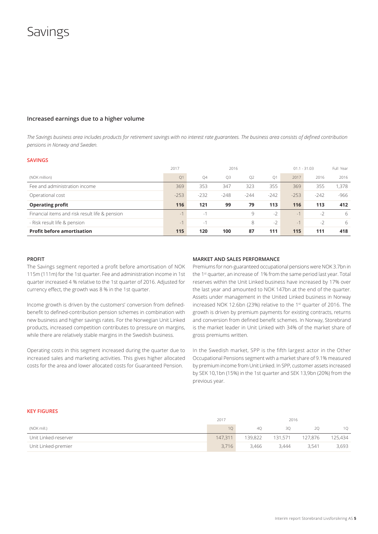## Savings

### **Increased earnings due to a higher volume**

*The Savings business area includes products for retirement savings with no interest rate guarantees. The business area consists of defined contribution pensions in Norway and Sweden.* 

#### **SAVINGS**

|                                                | 2017                     | 2016           |                |                |                | $-31.03$<br>01.1 | Full Year |        |
|------------------------------------------------|--------------------------|----------------|----------------|----------------|----------------|------------------|-----------|--------|
| (NOK million)                                  | Q1                       | O <sub>4</sub> | O <sub>3</sub> | Q <sub>2</sub> | O <sub>1</sub> | 2017             | 2016      | 2016   |
| Fee and administration income                  | 369                      | 353            | 347            | 323            | 355            | 369              | 355       | 1,378  |
| Operational cost                               | $-253$                   | $-232$         | $-248$         | $-244$         | $-242$         | $-253$           | $-242$    | $-966$ |
| <b>Operating profit</b>                        | 116                      | 121            | 99             | 79             | 113            | 116              | 113       | 412    |
| Financial items and risk result life & pension | $\overline{\phantom{a}}$ | $\sim$         |                | 9              | $-2$           | $-1$             | $-2$      | 6      |
| - Risk result life & pension                   | $-1$                     | $-1$           |                | 8              | $-2$           | $-1$             | $-2$      | 6      |
| <b>Profit before amortisation</b>              | 115                      | 120            | 100            | 87             | 111            | 115              | 111       | 418    |

#### **PROFIT**

The Savings segment reported a profit before amortisation of NOK 115m (111m) for the 1st quarter. Fee and administration income in 1st quarter increased 4 % relative to the 1st quarter of 2016. Adjusted for currency effect, the growth was 8 % in the 1st quarter.

Income growth is driven by the customers' conversion from definedbenefit to defined-contribution pension schemes in combination with new business and higher savings rates. For the Norwegian Unit Linked products, increased competition contributes to pressure on margins, while there are relatively stable margins in the Swedish business.

Operating costs in this segment increased during the quarter due to increased sales and marketing activities. This gives higher allocated costs for the area and lower allocated costs for Guaranteed Pension.

#### **MARKET AND SALES PERFORMANCE**

Premiums for non-guaranteed occupational pensions were NOK 3.7bn in the 1<sup>st</sup> quarter, an increase of 1% from the same period last year. Total reserves within the Unit Linked business have increased by 17% over the last year and amounted to NOK 147bn at the end of the quarter. Assets under management in the United Linked business in Norway increased NOK 12.6bn (23%) relative to the 1st quarter of 2016. The growth is driven by premium payments for existing contracts, returns and conversion from defined benefit schemes. In Norway, Storebrand is the market leader in Unit Linked with 34% of the market share of gross premiums written.

In the Swedish market, SPP is the fifth largest actor in the Other Occupational Pensions segment with a market share of 9.1% measured by premium income from Unit Linked. In SPP, customer assets increased by SEK 10,1bn (15%) in the 1st quarter and SEK 13,9bn (20%) from the previous year.

#### **KEY FIGURES**

|                      | 2017<br>2016 |         |                |         |         |
|----------------------|--------------|---------|----------------|---------|---------|
| (NOK mill.)          |              | 40      | 30             | 20      |         |
| Unit Linked-reserver | 147,311      | 139.822 | $\sim$ 131,571 | 127.876 | 125,434 |
| Unit Linked-premier  | 3.716        | 3.466   | 3.444          | 3.541   | 3,693   |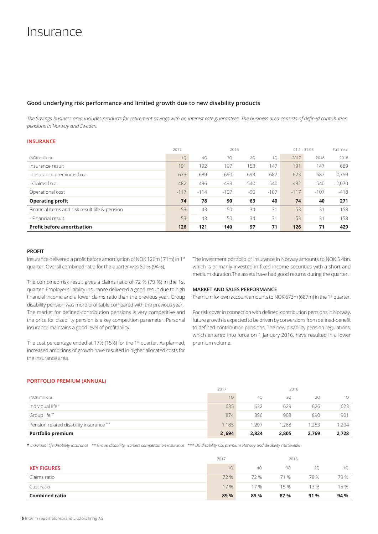## Insurance

### **Good underlying risk performance and limited growth due to new disability products**

*The Savings business area includes products for retirement savings with no interest rate guarantees. The business area consists of defined contribution pensions in Norway and Sweden.* 

### **INSURANCE**

|                                                | 2017   | 2016   |        |        |        | $01.1 - 31.03$ | Full Year |          |
|------------------------------------------------|--------|--------|--------|--------|--------|----------------|-----------|----------|
| (NOK million)                                  | 1Q     | 40     | 3Q     | 2Q     | 10     | 2017           | 2016      | 2016     |
| Insurance result                               | 191    | 192    | 197    | 153    | 147    | 191            | 147       | 689      |
| - Insurance premiums f.o.a.                    | 673    | 689    | 690    | 693    | 687    | 673            | 687       | 2,759    |
| - Claims f.o.a.                                | $-482$ | $-496$ | $-493$ | $-540$ | $-540$ | $-482$         | $-540$    | $-2,070$ |
| Operational cost                               | $-117$ | $-114$ | $-107$ | -90    | $-107$ | $-117$         | $-107$    | $-418$   |
| <b>Operating profit</b>                        | 74     | 78     | 90     | 63     | 40     | 74             | 40        | 271      |
| Financial items and risk result life & pension | 53     | 43     | 50     | 34     | 31     | 53             | 31        | 158      |
| - Financial result                             | 53     | 43     | 50     | 34     | 31     | 53             | 31        | 158      |
| <b>Profit before amortisation</b>              | 126    | 121    | 140    | 97     | 71     | 126            | 71        | 429      |

#### **PROFIT**

Insurance delivered a profit before amortisation of NOK 126m ( 71m) in 1st quarter. Overall combined ratio for the quarter was 89 % (94%).

The combined risk result gives a claims ratio of 72 % (79 %) in the 1st quarter. Employer's liability insurance delivered a good result due to high financial income and a lower claims ratio than the previous year. Group disability pension was more profitable compared with the previous year. The market for defined-contribution pensions is very competitive and the price for disability pension is a key competition parameter. Personal insurance maintains a good level of profitability.

The cost percentage ended at 17% (15%) for the 1st quarter. As planned, increased ambitions of growth have resulted in higher allocated costs for the insurance area.

The investment portfolio of Insurance in Norway amounts to NOK 5.4bn, which is primarily invested in fixed income securities with a short and medium duration.The assets have had good returns during the quarter.

#### **MARKET AND SALES PERFORMANCE**

Premium for own account amounts to NOK 673m (687m) in the 1<sup>st</sup> quarter.

For risk cover in connection with defined-contribution pensions in Norway, future growth is expected to be driven by conversions from defined-benefit to defined-contribution pensions. The new disability pension regulations, which entered into force on 1 January 2016, have resulted in a lower premium volume.

### **PORTFOLIO PREMIUM (ANNUAL)**

|                                         | 2017  | 2016  |       |       |       |
|-----------------------------------------|-------|-------|-------|-------|-------|
| (NOK million)                           | 10    | 40    | 30    | 20    | 10    |
| Individual life*                        | 635   | 632   | 629   | 626   | 623   |
| Group life**                            | 874   | 896   | 908   | 890   | 901   |
| Pension related disability insurance*** | 1.185 | 1.297 | 1.268 | 1.253 | 1.204 |
| Portfolio premium                       | 2,694 | 2,824 | 2,805 | 2,769 | 2,728 |

\* *Individual life disability insurance \*\* Group disability, workers compensation insurance \*\*\* DC disability risk premium Norway and disability risk Sweden*

|                       | 2017            | 2016 |      |      |      |
|-----------------------|-----------------|------|------|------|------|
| <b>KEY FIGURES</b>    | 10 <sup>1</sup> | 40   | 30   | 20   | 10   |
| Claims ratio          | 72 %            | 72 % | 71 % | 78 % | 79 % |
| Cost ratio            | 17 %            | 17 % | 15 % | 13 % | 15 % |
| <b>Combined ratio</b> | 89 %            | 89 % | 87%  | 91 % | 94 % |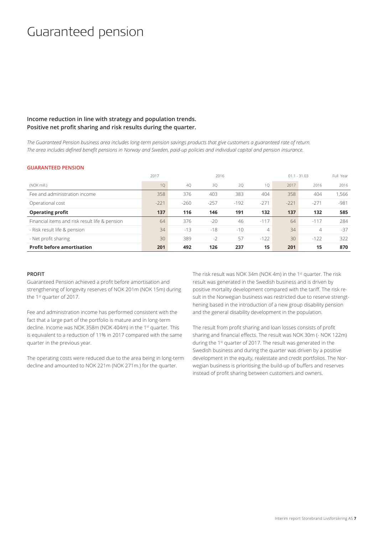## Guaranteed pension

### **Income reduction in line with strategy and population trends. Positive net profit sharing and risk results during the quarter.**

*The Guaranteed Pension business area includes long-term pension savings products that give customers a guaranteed rate of return. The area includes defined benefit pensions in Norway and Sweden, paid-up policies and individual capital and pension insurance.*

### **GUARANTEED PENSION**

|                                                | 2017   |        | 2016   |        |        | $01.1 - 31.03$ |        |        |
|------------------------------------------------|--------|--------|--------|--------|--------|----------------|--------|--------|
| (NOK mill.)                                    | 10     | 40     | 30     | 20     | 10     | 2017           | 2016   | 2016   |
| Fee and administration income                  | 358    | 376    | 403    | 383    | 404    | 358            | 404    | .566   |
| Operational cost                               | $-221$ | $-260$ | $-257$ | $-192$ | $-271$ | $-221$         | $-271$ | $-981$ |
| <b>Operating profit</b>                        | 137    | 116    | 146    | 191    | 132    | 137            | 132    | 585    |
| Financial items and risk result life & pension | 64     | 376    | $-20$  | 46     | $-117$ | 64             | $-117$ | 284    |
| - Risk result life & pension                   | 34     | $-13$  | $-18$  | $-10$  | 4      | 34             | 4      | $-37$  |
| - Net profit sharing                           | 30     | 389    | $-2$   | 57     | $-122$ | 30             | $-122$ | 322    |
| <b>Profit before amortisation</b>              | 201    | 492    | 126    | 237    | 15     | 201            | 15     | 870    |

#### **PROFIT**

Guaranteed Pension achieved a profit before amortisation and strengthening of longevity reserves of NOK 201m (NOK 15m) during the 1st quarter of 2017.

Fee and administration income has performed consistent with the fact that a large part of the portfolio is mature and in long-term decline. Income was NOK 358m (NOK 404m) in the 1st quarter. This is equivalent to a reduction of 11% in 2017 compared with the same quarter in the previous year.

The operating costs were reduced due to the area being in long-term decline and amounted to NOK 221m (NOK 271m.) for the quarter.

The risk result was NOK 34m (NOK 4m) in the 1<sup>st</sup> quarter. The risk result was generated in the Swedish business and is driven by positive mortality development compared with the tariff. The risk result in the Norwegian business was restricted due to reserve strengthening based in the introduction of a new group disability pension and the general disability development in the population.

The result from profit sharing and loan losses consists of profit sharing and financial effects. The result was NOK 30m (- NOK 122m) during the 1st quarter of 2017. The result was generated in the Swedish business and during the quarter was driven by a positive development in the equity, realestate and credit portfolios. The Norwegian business is prioritising the build-up of buffers and reserves instead of profit sharing between customers and owners.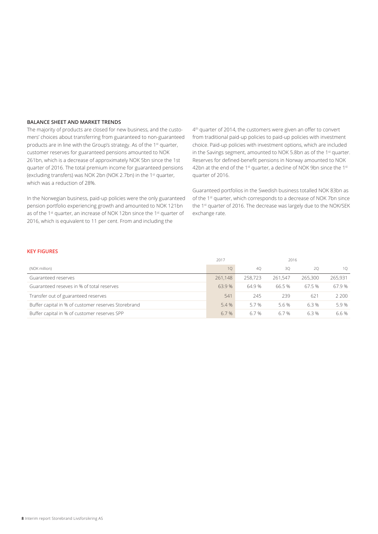### **BALANCE SHEET AND MARKET TRENDS**

The majority of products are closed for new business, and the customers' choices about transferring from guaranteed to non-guaranteed products are in line with the Group's strategy. As of the 1<sup>st</sup> quarter, customer reserves for guaranteed pensions amounted to NOK 261bn, which is a decrease of approximately NOK 5bn since the 1st quarter of 2016. The total premium income for guaranteed pensions (excluding transfers) was NOK 2bn (NOK 2.7bn) in the 1<sup>st</sup> quarter, which was a reduction of 28%.

In the Norwegian business, paid-up policies were the only guaranteed pension portfolio experiencing growth and amounted to NOK 121bn as of the 1<sup>st</sup> quarter, an increase of NOK 12bn since the 1<sup>st</sup> quarter of 2016, which is equivalent to 11 per cent. From and including the

4<sup>th</sup> quarter of 2014, the customers were given an offer to convert from traditional paid-up policies to paid-up policies with investment choice. Paid-up policies with investment options, which are included in the Savings segment, amounted to NOK 5.8bn as of the 1<sup>st</sup> quarter. Reserves for defined-benefit pensions in Norway amounted to NOK 42bn at the end of the 1<sup>st</sup> quarter, a decline of NOK 9bn since the 1st quarter of 2016.

Guaranteed portfolios in the Swedish business totalled NOK 83bn as of the 1st quarter, which corresponds to a decrease of NOK 7bn since the 1<sup>st</sup> quarter of 2016. The decrease was largely due to the NOK/SEK exchange rate.

### **KEY FIGURES**

|                                                     | 2017    |         |         |         |         |
|-----------------------------------------------------|---------|---------|---------|---------|---------|
| (NOK million)                                       | 10      | 40      | 30      | 20      | 10      |
| Guaranteed reserves                                 | 261.148 | 258,723 | 261.547 | 265,300 | 265.931 |
| Guaranteed reseves in % of total reserves           | 63.9%   | 64.9 %  | 66.5%   | 67.5%   | 67.9 %  |
| Transfer out of guaranteed reserves                 | 541     | 245     | 239     | 621     | 2 200   |
| Buffer capital in % of customer reserves Storebrand | 5.4 %   | 57%     | 5.6 %   | 6.3%    | 5.9%    |
| Buffer capital in % of customer reserves SPP        | 6.7%    | 6.7%    | 6.7%    | 6.3%    | 6.6 %   |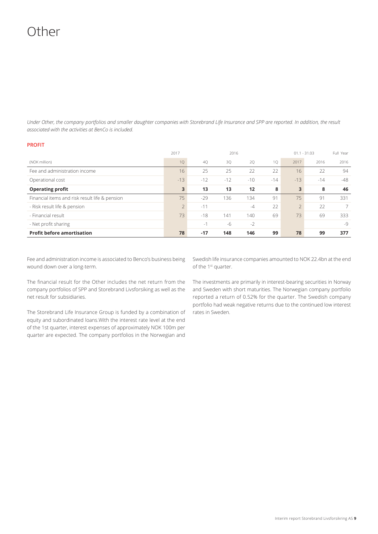## Other

*Under Other, the company portfolios and smaller daughter companies with Storebrand Life Insurance and SPP are reported. In addition, the result associated with the activities at BenCo is included.* 

### **PROFIT**

|                                                | 2017           | 2016  |       |                   | $01.1 - 31.03$ |           | Full Year |                |
|------------------------------------------------|----------------|-------|-------|-------------------|----------------|-----------|-----------|----------------|
| (NOK million)                                  | 1Q             | 40    | 3Q    | 2Q                | 10             | 2017      | 2016      | 2016           |
| Fee and administration income                  | 16             | 25    | 25    | 22                | 22             | 16        | 22        | 94             |
| Operational cost                               | $-13$          | $-12$ | $-12$ | $-10$             | $-14$          | $-13$     | $-14$     | $-48$          |
| <b>Operating profit</b>                        | 3              | 13    | 13    | $12 \overline{ }$ | 8              | 3         | 8         | 46             |
| Financial items and risk result life & pension | 75             | $-29$ | 136   | 134               | 91             | 75        | 91        | 331            |
| - Risk result life & pension                   | $\overline{2}$ | $-11$ |       | $-4$              | 22             | $\bigcap$ | 22        | $\overline{7}$ |
| - Financial result                             | 73             | $-18$ | 141   | 140               | 69             | 73        | 69        | 333            |
| - Net profit sharing                           |                | $-1$  | $-6$  | $-2$              |                |           |           | $-9$           |
| <b>Profit before amortisation</b>              | 78             | $-17$ | 148   | 146               | 99             | 78        | 99        | 377            |

Fee and administration income is associated to Benco's business being wound down over a long-term.

Swedish life insurance companies amounted to NOK 22.4bn at the end of the 1<sup>st</sup> quarter.

The financial result for the Other includes the net return from the company portfolios of SPP and Storebrand Livsforsiking as well as the net result for subsidiaries.

The Storebrand Life Insurance Group is funded by a combination of equity and subordinated loans.With the interest rate level at the end of the 1st quarter, interest expenses of approximately NOK 100m per quarter are expected. The company portfolios in the Norwegian and

The investments are primarily in interest-bearing securities in Norway and Sweden with short maturities. The Norwegian company portfolio reported a return of 0.52% for the quarter. The Swedish company portfolio had weak negative returns due to the continued low interest rates in Sweden.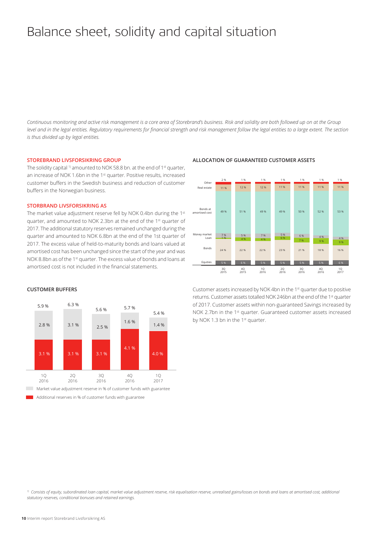## Balance sheet, solidity and capital situation

*Continuous monitoring and active risk management is a core area of Storebrand's business. Risk and solidity are both followed up on at the Group level and in the legal entities. Regulatory requirements for financial strength and risk management follow the legal entities to a large extent. The section is thus divided up by legal entities.* 

#### **STOREBRAND LIVSFORSIKRING GROUP**

The solidity capital <sup>1)</sup> amounted to NOK 58.8 bn. at the end of 1<sup>st</sup> quarter, an increase of NOK 1.6bn in the 1<sup>st</sup> quarter. Positive results, increased customer buffers in the Swedish business and reduction of customer buffers in the Norwegian business.

### **STORBRAND LIVSFORSIKRING AS**

**CUSTOMER BUFFERS**

The market value adjustment reserve fell by NOK 0.4bn during the 1st quarter, and amounted to NOK 2.3bn at the end of the 1st quarter of 2017. The additional statutory reserves remained unchanged during the quarter and amounted to NOK 6.8bn at the end of the 1st quarter of 2017. The excess value of held-to-maturity bonds and loans valued at amortised cost has been unchanged since the start of the year and was NOK 8.8bn as of the 1<sup>st</sup> quarter. The excess value of bonds and loans at amortised cost is not included in the financial statements.



#### **ALLOCATION OF GUARANTEED CUSTOMER ASSETS**



Additional reserves in % of customer funds with guarantee

Customer assets increased by NOK 4bn in the 1st quarter due to positive returns. Customer assets totalled NOK 246bn at the end of the 1<sup>st</sup> quarter of 2017. Customer assets within non-guaranteed Savings increased by NOK 2.7bn in the 1<sup>st</sup> quarter. Guaranteed customer assets increased by NOK 1.3 bn in the 1<sup>st</sup> quarter.

<sup>1)</sup> Consists of equity, subordinated loan capital, market value adjustment reserve, risk equalisation reserve, unrealised gains/losses on bonds and loans at amortised cost, additional *statutory reserves, conditional bonuses and retained earnings.*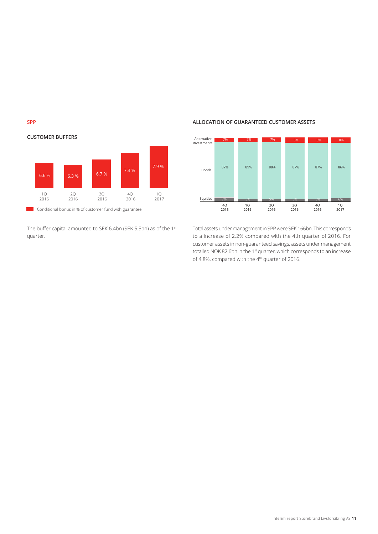



The buffer capital amounted to SEK 6.4bn (SEK 5.5bn) as of the 1st quarter.

### **ALLOCATION OF GUARANTEED CUSTOMER ASSETS**



Total assets under management in SPP were SEK 166bn. This corresponds to a increase of 2.2% compared with the 4th quarter of 2016. For customer assets in non-guaranteed savings, assets under management totalled NOK 82.6bn in the 1<sup>st</sup> quarter, which corresponds to an increase of 4.8%, compared with the 4<sup>th</sup> quarter of 2016.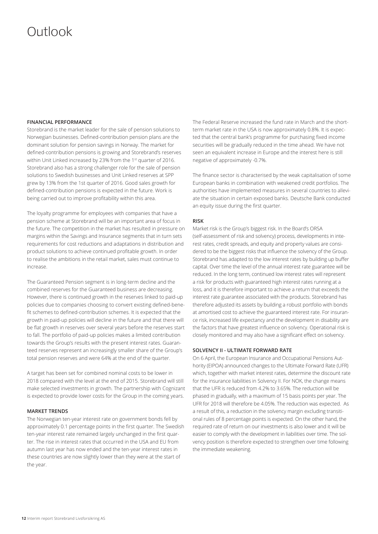## Outlook

### **FINANCIAL PERFORMANCE**

Storebrand is the market leader for the sale of pension solutions to Norwegian businesses. Defined-contribution pension plans are the dominant solution for pension savings in Norway. The market for defined-contribution pensions is growing and Storebrand's reserves within Unit Linked increased by 23% from the 1<sup>st</sup> quarter of 2016. Storebrand also has a strong challenger role for the sale of pension solutions to Swedish businesses and Unit Linked reserves at SPP grew by 13% from the 1st quarter of 2016. Good sales growth for defined-contribution pensions is expected in the future. Work is being carried out to improve profitability within this area.

The loyalty programme for employees with companies that have a pension scheme at Storebrand will be an important area of focus in the future. The competition in the market has resulted in pressure on margins within the Savings and Insurance segments that in turn sets requirements for cost reductions and adaptations in distribution and product solutions to achieve continued profitable growth. In order to realise the ambitions in the retail market, sales must continue to increase.

The Guaranteed Pension segment is in long-term decline and the combined reserves for the Guaranteed business are decreasing. However, there is continued growth in the reserves linked to paid-up policies due to companies choosing to convert existing defined-benefit schemes to defined-contribution schemes. It is expected that the growth in paid-up policies will decline in the future and that there will be flat growth in reserves over several years before the reserves start to fall. The portfolio of paid-up policies makes a limited contribution towards the Group's results with the present interest rates. Guaranteed reserves represent an increasingly smaller share of the Group's total pension reserves and were 64% at the end of the quarter.

A target has been set for combined nominal costs to be lower in 2018 compared with the level at the end of 2015. Storebrand will still make selected investments in growth. The partnership with Cognizant is expected to provide lower costs for the Group in the coming years.

#### **MARKET TRENDS**

The Norwegian ten-year interest rate on government bonds fell by approximately 0.1 percentage points in the first quarter. The Swedish ten-year interest rate remained largely unchanged in the first quarter. The rise in interest rates that occurred in the USA and EU from autumn last year has now ended and the ten-year interest rates in these countries are now slightly lower than they were at the start of the year.

The Federal Reserve increased the fund rate in March and the shortterm market rate in the USA is now approximately 0.8%. It is expected that the central bank's programme for purchasing fixed income securities will be gradually reduced in the time ahead. We have not seen an equivalent increase in Europe and the interest here is still negative of approximately -0.7%.

The finance sector is characterised by the weak capitalisation of some European banks in combination with weakened credit portfolios. The authorities have implemented measures in several countries to alleviate the situation in certain exposed banks. Deutsche Bank conducted an equity issue during the first quarter.

#### **RISK**

Market risk is the Group's biggest risk. In the Board's ORSA (self-assessment of risk and solvency) process, developments in interest rates, credit spreads, and equity and property values are considered to be the biggest risks that influence the solvency of the Group. Storebrand has adapted to the low interest rates by building up buffer capital. Over time the level of the annual interest rate guarantee will be reduced. In the long term, continued low interest rates will represent a risk for products with guaranteed high interest rates running at a loss, and it is therefore important to achieve a return that exceeds the interest rate guarantee associated with the products. Storebrand has therefore adjusted its assets by building a robust portfolio with bonds at amortised cost to achieve the guaranteed interest rate. For insurance risk, increased life expectancy and the development in disability are the factors that have greatest influence on solvency. Operational risk is closely monitored and may also have a significant effect on solvency.

### **SOLVENCY II - ULTIMATE FORWARD RATE**

On 6 April, the European Insurance and Occupational Pensions Authority (EIPOA) announced changes to the Ultimate Forward Rate (UFR) which, together with market interest rates, determine the discount rate for the insurance liabilities in Solvency II. For NOK, the change means that the UFR is reduced from 4.2% to 3.65%. The reduction will be phased in gradually, with a maximum of 15 basis points per year. The UFR for 2018 will therefore be 4.05%. The reduction was expected. As a result of this, a reduction in the solvency margin excluding transitional rules of 8 percentage points is expected. On the other hand, the required rate of return on our investments is also lower and it will be easier to comply with the development in liabilities over time. The solvency position is therefore expected to strengthen over time following the immediate weakening.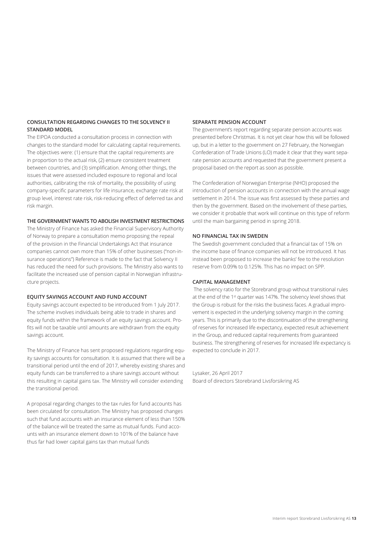### **CONSULTATION REGARDING CHANGES TO THE SOLVENCY II STANDARD MODEL**

The EIPOA conducted a consultation process in connection with changes to the standard model for calculating capital requirements. The objectives were: (1) ensure that the capital requirements are in proportion to the actual risk, (2) ensure consistent treatment between countries, and (3) simplification. Among other things, the issues that were assessed included exposure to regional and local authorities, calibrating the risk of mortality, the possibility of using company-specific parameters for life insurance, exchange rate risk at group level, interest rate risk, risk-reducing effect of deferred tax and risk margin.

### **THE GOVERNMENT WANTS TO ABOLISH INVESTMENT RESTRICTIONS**

The Ministry of Finance has asked the Financial Supervisory Authority of Norway to prepare a consultation memo proposing the repeal of the provision in the Financial Undertakings Act that insurance companies cannot own more than 15% of other businesses ("non-insurance operations") Reference is made to the fact that Solvency II has reduced the need for such provisions. The Ministry also wants to facilitate the increased use of pension capital in Norwegian infrastructure projects.

#### **EQUITY SAVINGS ACCOUNT AND FUND ACCOUNT**

Equity savings account expected to be introduced from 1 July 2017. The scheme involves individuals being able to trade in shares and equity funds within the framework of an equity savings account. Profits will not be taxable until amounts are withdrawn from the equity savings account.

The Ministry of Finance has sent proposed regulations regarding equity savings accounts for consultation. It is assumed that there will be a transitional period until the end of 2017, whereby existing shares and equity funds can be transferred to a share savings account without this resulting in capital gains tax. The Ministry will consider extending the transitional period.

A proposal regarding changes to the tax rules for fund accounts has been circulated for consultation. The Ministry has proposed changes such that fund accounts with an insurance element of less than 150% of the balance will be treated the same as mutual funds. Fund accounts with an insurance element down to 101% of the balance have thus far had lower capital gains tax than mutual funds

### **SEPARATE PENSION ACCOUNT**

The government's report regarding separate pension accounts was presented before Christmas. It is not yet clear how this will be followed up, but in a letter to the government on 27 February, the Norwegian Confederation of Trade Unions (LO) made it clear that they want separate pension accounts and requested that the government present a proposal based on the report as soon as possible.

The Confederation of Norwegian Enterprise (NHO) proposed the introduction of pension accounts in connection with the annual wage settlement in 2014. The issue was first assessed by these parties and then by the government. Based on the involvement of these parties, we consider it probable that work will continue on this type of reform until the main bargaining period in spring 2018.

#### **NO FINANCIAL TAX IN SWEDEN**

The Swedish government concluded that a financial tax of 15% on the income base of finance companies will not be introduced. It has instead been proposed to increase the banks' fee to the resolution reserve from 0.09% to 0.125%. This has no impact on SPP.

### **CAPITAL MANAGEMENT**

 The solvency ratio for the Storebrand group without transitional rules at the end of the 1<sup>st</sup> quarter was 147%. The solvency level shows that the Group is robust for the risks the business faces. A gradual improvement is expected in the underlying solvency margin in the coming years. This is primarily due to the discontinuation of the strengthening of reserves for increased life expectancy, expected result achievement in the Group, and reduced capital requirements from guaranteed business. The strengthening of reserves for increased life expectancy is expected to conclude in 2017.

Lysaker, 26 April 2017 Board of directors Storebrand Livsforsikring AS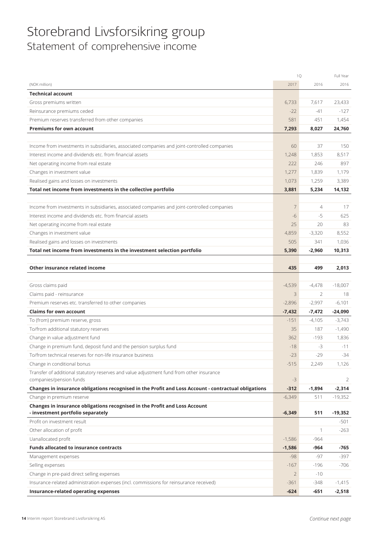## Storebrand Livsforsikring group Statement of comprehensive income

|                                                                                                      | 1Q             |                | Full Year |
|------------------------------------------------------------------------------------------------------|----------------|----------------|-----------|
| (NOK million)                                                                                        | 2017           | 2016           | 2016      |
| <b>Technical account</b>                                                                             |                |                |           |
| Gross premiums written                                                                               | 6,733          | 7,617          | 23,433    |
| Reinsurance premiums ceded                                                                           | $-22$          | $-41$          | $-127$    |
| Premium reserves transferred from other companies                                                    | 581            | 451            | 1,454     |
| <b>Premiums for own account</b>                                                                      | 7,293          | 8,027          | 24,760    |
|                                                                                                      |                |                |           |
| Income from investments in subsidiaries, associated companies and joint-controlled companies         | 60             | 37             | 150       |
| Interest income and dividends etc. from financial assets                                             | 1,248          | 1,853          | 8,517     |
| Net operating income from real estate                                                                | 222            | 246            | 897       |
| Changes in investment value                                                                          | 1,277          | 1,839          | 1,179     |
| Realised gains and losses on investments                                                             | 1,073          | 1,259          | 3,389     |
| Total net income from investments in the collective portfolio                                        | 3,881          | 5,234          | 14,132    |
|                                                                                                      |                |                |           |
| Income from investments in subsidiaries, associated companies and joint-controlled companies         | 7              | $\overline{4}$ | 17        |
| Interest income and dividends etc. from financial assets                                             | $-6$           | $-5$           | 625       |
| Net operating income from real estate                                                                | 25             | 20             | 83        |
| Changes in investment value                                                                          | 4,859          | $-3,320$       | 8,552     |
| Realised gains and losses on investments                                                             | 505            | 341            | 1,036     |
| Total net income from investments in the investment selection portfolio                              | 5,390          | $-2,960$       | 10,313    |
|                                                                                                      |                |                |           |
| Other insurance related income                                                                       | 435            | 499            | 2,013     |
|                                                                                                      |                |                |           |
| Gross claims paid                                                                                    | $-4,539$       | $-4,478$       | $-18,007$ |
| Claims paid - reinsurance                                                                            | 3              | 2              | 18        |
| Premium reserves etc. transferred to other companies                                                 | $-2,896$       | $-2,997$       | $-6,101$  |
| <b>Claims for own account</b>                                                                        | $-7,432$       | $-7,472$       | $-24,090$ |
| To (from) premium reserve, gross                                                                     | $-151$         | $-4,105$       | $-3,743$  |
| To/from additional statutory reserves                                                                | 35             | 187            | $-1,490$  |
| Change in value adjustment fund                                                                      | 362            | $-193$         | 1,836     |
| Change in premium fund, deposit fund and the pension surplus fund                                    | $-18$          | $-3$           | $-11$     |
| To/from technical reserves for non-life insurance business                                           | $-23$          | $-29$          | $-34$     |
| Change in conditional bonus                                                                          | $-515$         | 2,249          | 1,126     |
| Transfer of additional statutory reserves and value adjustment fund from other insurance             |                |                |           |
| companies/pension funds                                                                              | $-3$           |                | 2         |
| Changes in insurance obligations recognised in the Profit and Loss Account - contractual obligations | $-312$         | $-1,894$       | $-2,314$  |
| Change in premium reserve                                                                            | $-6,349$       | 511            | $-19,352$ |
| Changes in insurance obligations recognised in the Profit and Loss Account                           |                |                |           |
| - investment portfolio separately<br>Profit on investment result                                     | $-6,349$       | 511            | $-19,352$ |
|                                                                                                      |                |                | $-501$    |
| Other allocation of profit                                                                           |                | 1              | $-263$    |
| Uanallocated profit                                                                                  | $-1,586$       | $-964$         |           |
| <b>Funds allocated to insurance contracts</b>                                                        | $-1,586$       | -964           | -765      |
| Management expenses                                                                                  | $-98$          | -97            | $-397$    |
| Selling expenses                                                                                     | $-167$         | $-196$         | -706      |
| Change in pre-paid direct selling expenses                                                           | $\overline{2}$ | $-10$          |           |
| Insurance-related administration expenses (incl. commissions for reinsurance received)               | $-361$         | $-348$         | $-1,415$  |
| Insurance-related operating expenses                                                                 | $-624$         | -651           | $-2,518$  |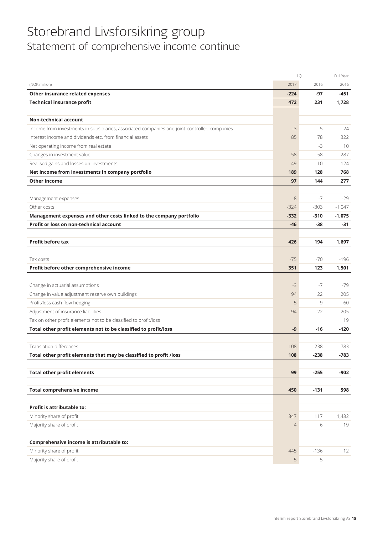## Storebrand Livsforsikring group Statement of comprehensive income continue

|                                                                                              |                | 1Q     | Full Year |
|----------------------------------------------------------------------------------------------|----------------|--------|-----------|
| (NOK million)                                                                                | 2017           | 2016   | 2016      |
| Other insurance related expenses                                                             | $-224$         | -97    | -451      |
| <b>Technical insurance profit</b>                                                            | 472            | 231    | 1,728     |
|                                                                                              |                |        |           |
| <b>Non-technical account</b>                                                                 |                |        |           |
| Income from investments in subsidiaries, associated companies and joint-controlled companies | $-3$           | 5      | 24        |
| Interest income and dividends etc. from financial assets                                     | 85             | 78     | 322       |
| Net operating income from real estate                                                        |                | $-3$   | 10        |
| Changes in investment value                                                                  | 58             | 58     | 287       |
| Realised gains and losses on investments                                                     | 49             | $-10$  | 124       |
| Net income from investments in company portfolio                                             | 189            | 128    | 768       |
| <b>Other income</b>                                                                          | 97             | 144    | 277       |
|                                                                                              |                |        |           |
| Management expenses                                                                          | $-8$           | $-7$   | -29       |
| Other costs                                                                                  | $-324$         | $-303$ | $-1,047$  |
| Management expenses and other costs linked to the company portfolio                          | $-332$         | $-310$ | $-1,075$  |
| Profit or loss on non-technical account                                                      | $-46$          | $-38$  | -31       |
|                                                                                              |                |        |           |
| <b>Profit before tax</b>                                                                     | 426            | 194    | 1,697     |
|                                                                                              |                |        |           |
| Tax costs                                                                                    | $-75$          | $-70$  | $-196$    |
| Profit before other comprehensive income                                                     | 351            | 123    | 1,501     |
|                                                                                              |                |        |           |
| Change in actuarial assumptions                                                              | $-3$           | $-7$   | $-79$     |
| Change in value adjustment reserve own buildings                                             | 94             | 22     | 205       |
| Profit/loss cash flow hedging                                                                | $-5$           | $-9$   | -60       |
| Adjustment of insurance liabilities                                                          | $-94$          | $-22$  | $-205$    |
| Tax on other profit elements not to be classified to profit/loss                             |                |        | 19        |
| Total other profit elements not to be classified to profit/loss                              | -9             | -16    | $-120$    |
|                                                                                              |                |        |           |
| <b>Translation differences</b>                                                               | 108            | $-238$ | $-783$    |
| Total other profit elements that may be classified to profit /loss                           | 108            | $-238$ | $-783$    |
|                                                                                              |                |        |           |
| <b>Total other profit elements</b>                                                           | 99             | $-255$ | $-902$    |
| <b>Total comprehensive income</b>                                                            | 450            | $-131$ | 598       |
|                                                                                              |                |        |           |
| Profit is attributable to:                                                                   |                |        |           |
| Minority share of profit                                                                     | 347            | 117    | 1,482     |
| Majority share of profit                                                                     | $\overline{4}$ | 6      | 19        |
|                                                                                              |                |        |           |
| Comprehensive income is attributable to:                                                     |                |        |           |
| Minority share of profit                                                                     | 445            | $-136$ | 12        |
| Majority share of profit                                                                     | 5              | 5      |           |
|                                                                                              |                |        |           |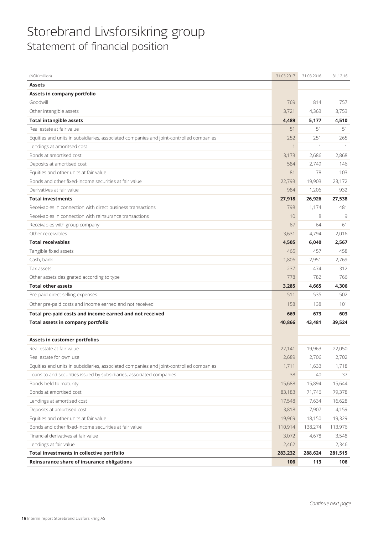## Storebrand Livsforsikring group Statement of financial position

| (NOK million)                                                                           | 31.03.2017     | 31.03.2016 | 31.12.16 |
|-----------------------------------------------------------------------------------------|----------------|------------|----------|
| <b>Assets</b>                                                                           |                |            |          |
| Assets in company portfolio                                                             |                |            |          |
| Goodwill                                                                                | 769            | 814        | 757      |
| Other intangible assets                                                                 | 3,721          | 4,363      | 3,753    |
| <b>Total intangible assets</b>                                                          | 4,489          | 5,177      | 4,510    |
| Real estate at fair value                                                               | 51             | 51         | 51       |
| Equities and units in subsidiaries, associated companies and joint-controlled companies | 252            | 251        | 265      |
| Lendings at amoritsed cost                                                              | $\overline{1}$ | 1          | 1        |
| Bonds at amortised cost                                                                 | 3,173          | 2,686      | 2,868    |
| Deposits at amortised cost                                                              | 584            | 2,749      | 146      |
| Equities and other units at fair value                                                  | 81             | 78         | 103      |
| Bonds and other fixed-income securities at fair value                                   | 22,793         | 19,903     | 23,172   |
| Derivatives at fair value                                                               | 984            | 1,206      | 932      |
| <b>Total investments</b>                                                                | 27,918         | 26,926     | 27,538   |
| Receivables in connection with direct business transactions                             | 798            | 1,174      | 481      |
| Receivables in connection with reinsurance transactions                                 | 10             | 8          | 9        |
| Receivables with group company                                                          | 67             | 64         | 61       |
| Other receivables                                                                       | 3,631          | 4,794      | 2,016    |
| <b>Total receivables</b>                                                                | 4,505          | 6,040      | 2,567    |
| Tangible fixed assets                                                                   | 465            | 457        | 458      |
| Cash, bank                                                                              | 1,806          | 2,951      | 2,769    |
| Tax assets                                                                              | 237            | 474        | 312      |
| Other assets designated according to type                                               | 778            | 782        | 766      |
| <b>Total other assets</b>                                                               | 3,285          | 4,665      | 4,306    |
| Pre-paid direct selling expenses                                                        | 511            | 535        | 502      |
| Other pre-paid costs and income earned and not received                                 | 158            | 138        | 101      |
| Total pre-paid costs and income earned and not received                                 | 669            | 673        | 603      |
| Total assets in company portfolio                                                       | 40,866         | 43,481     | 39,524   |
|                                                                                         |                |            |          |
| Assets in customer portfolios                                                           |                |            |          |
| Real estate at fair value                                                               | 22,141         | 19,963     | 22,050   |
| Real estate for own use                                                                 | 2,689          | 2,706      | 2,702    |
| Equities and units in subsidiaries, associated companies and joint-controlled companies | 1,711          | 1,633      | 1,718    |
| Loans to and securities issued by subsidiaries, associated companies                    | 38             | 40         | 37       |
| Bonds held to maturity                                                                  | 15,688         | 15,894     | 15,644   |
| Bonds at amortised cost                                                                 | 83,183         | 71,746     | 79,378   |
| Lendings at amortised cost                                                              | 17,548         | 7,634      | 16,628   |
| Deposits at amortised cost                                                              | 3,818          | 7,907      | 4,159    |
| Equities and other units at fair value                                                  | 19,969         | 18,150     | 19,329   |
| Bonds and other fixed-income securities at fair value                                   | 110,914        | 138,274    | 113,976  |
| Financial derivatives at fair value                                                     | 3,072          | 4,678      | 3,548    |
| Lendings at fair value                                                                  | 2,462          |            | 2,346    |
| Total investments in collective portfolio                                               | 283,232        | 288,624    | 281,515  |
| Reinsurance share of insurance obligations                                              | 106            | 113        | 106      |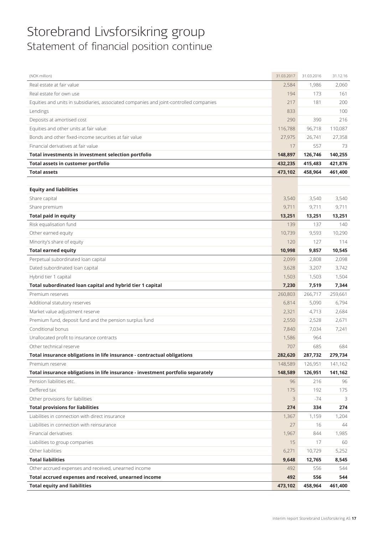## Storebrand Livsforsikring group Statement of financial position continue

| (NOK million)                                                                           | 31.03.2017 | 31.03.2016 | 31.12.16 |
|-----------------------------------------------------------------------------------------|------------|------------|----------|
| Real estate at fair value                                                               | 2,584      | 1,986      | 2,060    |
| Real estate for own use                                                                 | 194        | 173        | 161      |
| Equities and units in subsidiaries, associated companies and joint-controlled companies | 217        | 181        | 200      |
| Lendings                                                                                | 833        |            | 100      |
| Deposits at amortised cost                                                              | 290        | 390        | 216      |
| Equities and other units at fair value                                                  | 116,788    | 96,718     | 110,087  |
| Bonds and other fixed-income securities at fair value                                   | 27,975     | 26,741     | 27,358   |
| Financial derivatives at fair value                                                     | 17         | 557        | 73       |
| Total investments in investment selection portfolio                                     | 148,897    | 126,746    | 140,255  |
| Total assets in customer portfolio                                                      | 432,235    | 415,483    | 421,876  |
| <b>Total assets</b>                                                                     | 473,102    | 458,964    | 461,400  |
|                                                                                         |            |            |          |
| <b>Equity and liabilities</b>                                                           |            |            |          |
| Share capital                                                                           | 3,540      | 3,540      | 3,540    |
| Share premium                                                                           | 9,711      | 9,711      | 9,711    |
| <b>Total paid in equity</b>                                                             | 13,251     | 13,251     | 13,251   |
| Risk equalisation fund                                                                  | 139        | 137        | 140      |
| Other earned equity                                                                     | 10.739     | 9,593      | 10,290   |
| Minority's share of equity                                                              | 120        | 127        | 114      |
| <b>Total earned equity</b>                                                              | 10,998     | 9,857      | 10,545   |
| Perpetual subordinated loan capital                                                     | 2,099      | 2,808      | 2,098    |
| Dated subordinated loan capital                                                         | 3,628      | 3,207      | 3,742    |
| Hybrid tier 1 capital                                                                   | 1,503      | 1,503      | 1,504    |
| Total subordinated loan capital and hybrid tier 1 capital                               | 7,230      | 7,519      | 7,344    |
| Premium reserves                                                                        | 260,803    | 266,717    | 259,661  |
| Additional statutory reserves                                                           | 6,814      | 5,090      | 6,794    |
| Market value adjustment reserve                                                         | 2,321      | 4,713      | 2,684    |
| Premium fund, deposit fund and the pension surplus fund                                 | 2,550      | 2,528      | 2,671    |
| Conditional bonus                                                                       | 7,840      | 7,034      | 7,241    |
| Unallocated profit to insurance contracts                                               | 1,586      | 964        |          |
| Other technical reserve                                                                 | 707        | 685        | 684      |
| Total insurance obligations in life insurance - contractual obligations                 | 282,620    | 287,732    | 279,734  |
| Premium reserve                                                                         | 148,589    | 126,951    | 141,162  |
| Total insurance obligations in life insurance - investment portfolio separately         | 148,589    | 126,951    | 141,162  |
| Pension liabilities etc.                                                                | 96         | 216        | 96       |
| Deffered tax                                                                            | 175        | 192        | 175      |
| Other provisions for liabilities                                                        | 3          | $-74$      | 3        |
| <b>Total provisions for liabilities</b>                                                 | 274        | 334        | 274      |
| Liabilities in connection with direct insurance                                         | 1,367      | 1,159      | 1,204    |
| Liabilities in connection with reinsurance                                              | 27         | 16         | 44       |
| Financial derivatives                                                                   | 1,967      | 844        | 1,985    |
| Liabilities to group companies                                                          | 15         | 17         | 60       |
| Other liabilities                                                                       | 6,271      | 10,729     | 5,252    |
| <b>Total liabilities</b>                                                                | 9,648      | 12,765     | 8,545    |
| Other accrued expenses and received, unearned income                                    | 492        | 556        | 544      |
| Total accrued expenses and received, unearned income                                    | 492        | 556        | 544      |
| <b>Total equity and liabilities</b>                                                     |            |            |          |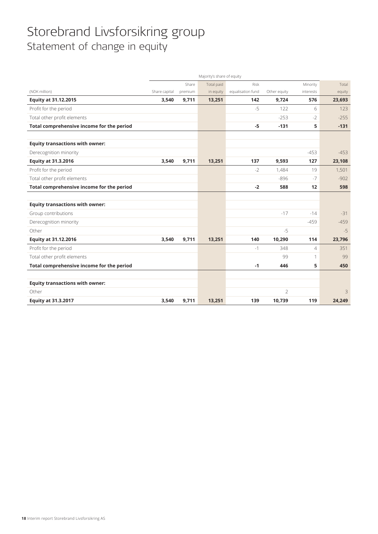## Storebrand Livsforsikring group Statement of change in equity

|                                           | Majority's share of equity |         |            |                   |                |                |        |
|-------------------------------------------|----------------------------|---------|------------|-------------------|----------------|----------------|--------|
|                                           |                            | Share   | Total paid | <b>Risk</b>       |                | Minority       | Total  |
| (NOK million)                             | Share capital              | premium | in equity  | equalisation fund | Other equity   | interests      | equity |
| <b>Equity at 31.12.2015</b>               | 3,540                      | 9,711   | 13,251     | 142               | 9,724          | 576            | 23,693 |
| Profit for the period                     |                            |         |            | $-5$              | 122            | 6              | 123    |
| Total other profit elements               |                            |         |            |                   | $-253$         | $-2$           | $-255$ |
| Total comprehensive income for the period |                            |         |            | $-5$              | $-131$         | 5              | $-131$ |
|                                           |                            |         |            |                   |                |                |        |
| <b>Equity transactions with owner:</b>    |                            |         |            |                   |                |                |        |
| Derecognition minority                    |                            |         |            |                   |                | $-453$         | $-453$ |
| <b>Equity at 31.3.2016</b>                | 3,540                      | 9,711   | 13,251     | 137               | 9,593          | 127            | 23,108 |
| Profit for the period                     |                            |         |            | $-2$              | 1,484          | 19             | 1,501  |
| Total other profit elements               |                            |         |            |                   | $-896$         | $-7$           | $-902$ |
| Total comprehensive income for the period |                            |         |            | $-2$              | 588            | 12             | 598    |
|                                           |                            |         |            |                   |                |                |        |
| <b>Equity transactions with owner:</b>    |                            |         |            |                   |                |                |        |
| Group contributions                       |                            |         |            |                   | $-17$          | $-14$          | $-31$  |
| Derecognition minority                    |                            |         |            |                   |                | $-459$         | $-459$ |
| Other                                     |                            |         |            |                   | $-5$           |                | $-5$   |
| Equity at 31.12.2016                      | 3,540                      | 9,711   | 13,251     | 140               | 10,290         | 114            | 23,796 |
| Profit for the period                     |                            |         |            | $-1$              | 348            | $\overline{4}$ | 351    |
| Total other profit elements               |                            |         |            |                   | 99             | $\mathbf{1}$   | 99     |
| Total comprehensive income for the period |                            |         |            | $-1$              | 446            | 5              | 450    |
|                                           |                            |         |            |                   |                |                |        |
| <b>Equity transactions with owner:</b>    |                            |         |            |                   |                |                |        |
| Other                                     |                            |         |            |                   | $\overline{2}$ |                | 3      |
| <b>Equity at 31.3.2017</b>                | 3,540                      | 9,711   | 13,251     | 139               | 10,739         | 119            | 24,249 |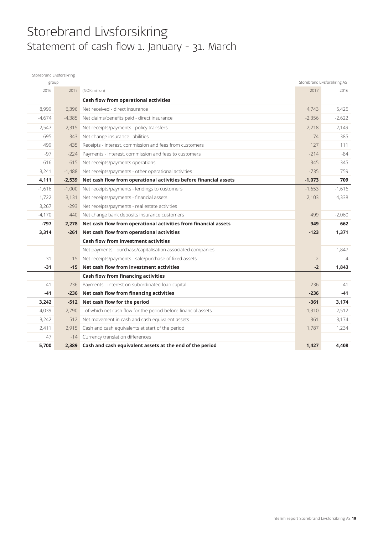## Storebrand Livsforsikring Statement of cash flow 1. January - 31. March

| Storebrand Livsforsikring |          |                                                                   |          |                              |
|---------------------------|----------|-------------------------------------------------------------------|----------|------------------------------|
| group                     |          |                                                                   |          | Storebrand Livsforsikring AS |
| 2016                      | 2017     | (NOK million)                                                     | 2017     | 2016                         |
|                           |          | Cash flow from operational activities                             |          |                              |
| 8,999                     | 6.396    | Net received - direct insurance                                   | 4.743    | 5,425                        |
| $-4,674$                  | $-4,385$ | Net claims/benefits paid - direct insurance                       | $-2,356$ | $-2,622$                     |
| $-2,547$                  | $-2,315$ | Net receipts/payments - policy transfers                          | $-2.218$ | $-2.149$                     |
| $-695$                    | $-343$   | Net change insurance liabilities                                  | $-74$    | $-385$                       |
| 499                       | 435      | Receipts - interest, commission and fees from customers           | 127      | 111                          |
| $-97$                     | $-224$   | Payments - interest, commission and fees to customers             | $-214$   | $-84$                        |
| $-616$                    | $-615$   | Net receipts/payments operations                                  | $-345$   | $-345$                       |
| 3,241                     | $-1,488$ | Net receipts/payments - other operational activities              | $-735$   | 759                          |
| 4,111                     | $-2,539$ | Net cash flow from operational activities before financial assets | $-1,073$ | 709                          |
| $-1,616$                  | $-1,000$ | Net receipts/payments - lendings to customers                     | $-1,653$ | $-1,616$                     |
| 1,722                     | 3,131    | Net receipts/payments - financial assets                          | 2,103    | 4,338                        |
| 3,267                     | $-293$   | Net receipts/payments - real estate activities                    |          |                              |
| $-4,170$                  | 440      | Net change bank deposits insurance customers                      | 499      | $-2,060$                     |
| $-797$                    | 2,278    | Net cash flow from operational activities from financial assets   | 949      | 662                          |
| 3,314                     | $-261$   | Net cash flow from operational activities                         | $-123$   | 1,371                        |
|                           |          | <b>Cash flow from investment activities</b>                       |          |                              |
|                           |          | Net payments - purchase/capitalisation associated companies       |          | 1,847                        |
| $-31$                     | $-1.5$   | Net receipts/payments - sale/purchase of fixed assets             | $-2$     | $-4$                         |
| -31                       | $-15$    | Net cash flow from investment activities                          | $-2$     | 1,843                        |
|                           |          | <b>Cash flow from financing activities</b>                        |          |                              |
| $-41$                     | $-236$   | Payments - interest on subordinated loan capital                  | $-236$   | $-41$                        |
| -41                       | $-236$   | Net cash flow from financing activities                           | $-236$   | -41                          |
| 3,242                     | $-512$   | Net cash flow for the period                                      | $-361$   | 3,174                        |
| 4,039                     | $-2,790$ | of which net cash flow for the period before financial assets     | $-1,310$ | 2,512                        |
| 3,242                     | $-512$   | Net movement in cash and cash equivalent assets                   | $-361$   | 3,174                        |
| 2,411                     | 2,915    | Cash and cash equivalents at start of the period                  | 1,787    | 1,234                        |
| 47                        | $-14$    | Currency translation differences                                  |          |                              |
| 5,700                     | 2,389    | Cash and cash equivalent assets at the end of the period          | 1,427    | 4,408                        |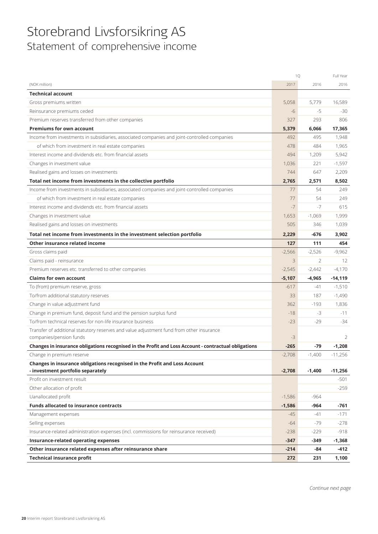## Storebrand Livsforsikring AS Statement of comprehensive income

|                                                                                                      | 1Q       |                | Full Year |
|------------------------------------------------------------------------------------------------------|----------|----------------|-----------|
| (NOK million)                                                                                        | 2017     | 2016           | 2016      |
| <b>Technical account</b>                                                                             |          |                |           |
| Gross premiums written                                                                               | 5,058    | 5,779          | 16,589    |
| Reinsurance premiums ceded                                                                           | $-6$     | $-5$           | $-30$     |
| Premium reserves transferred from other companies                                                    | 327      | 293            | 806       |
| <b>Premiums for own account</b>                                                                      | 5,379    | 6,066          | 17,365    |
| Income from investments in subsidiaries, associated companies and joint-controlled companies         | 492      | 495            | 1,948     |
| of which from investment in real estate companies                                                    | 478      | 484            | 1,965     |
| Interest income and dividends etc. from financial assets                                             | 494      | 1,209          | 5,942     |
| Changes in investment value                                                                          | 1,036    | 221            | $-1,597$  |
| Realised gains and losses on investments                                                             | 744      | 647            | 2,209     |
| Total net income from investments in the collective portfolio                                        | 2,765    | 2,571          | 8,502     |
| Income from investments in subsidiaries, associated companies and joint-controlled companies         | 77       | 54             | 249       |
| of which from investment in real estate companies                                                    | 77       | 54             | 249       |
| Interest income and dividends etc. from financial assets                                             | $-7$     | $-7$           | 615       |
| Changes in investment value                                                                          | 1,653    | $-1,069$       | 1,999     |
| Realised gains and losses on investments                                                             | 505      | 346            | 1,039     |
| Total net income from investments in the investment selection portfolio                              | 2,229    | $-676$         | 3,902     |
| Other insurance related income                                                                       | 127      | 111            | 454       |
| Gross claims paid                                                                                    | $-2,566$ | $-2,526$       | $-9,962$  |
| Claims paid - reinsurance                                                                            | 3        | $\overline{2}$ | 12        |
| Premium reserves etc. transferred to other companies                                                 | $-2,545$ | $-2,442$       | $-4,170$  |
| <b>Claims for own account</b>                                                                        | $-5,107$ | $-4,965$       | $-14,119$ |
| To (from) premium reserve, gross                                                                     | $-617$   | $-41$          | $-1,510$  |
| To/from additional statutory reserves                                                                | 33       | 187            | $-1,490$  |
| Change in value adjustment fund                                                                      | 362      | $-193$         | 1,836     |
| Change in premium fund, deposit fund and the pension surplus fund                                    | $-18$    | -3             | $-11$     |
| To/from technical reserves for non-life insurance business                                           | $-23$    | $-29$          | $-34$     |
| Transfer of additional statutory reserves and value adjustment fund from other insurance             |          |                |           |
| companies/pension funds                                                                              | $-3$     |                | 2         |
| Changes in insurance obligations recognised in the Profit and Loss Account - contractual obligations | $-265$   | $-79$          | $-1,208$  |
| Change in premium reserve                                                                            | $-2,708$ | $-1,400$       | $-11,256$ |
| Changes in insurance obligations recognised in the Profit and Loss Account                           |          |                |           |
| - investment portfolio separately                                                                    | $-2,708$ | $-1,400$       | $-11,256$ |
| Profit on investment result                                                                          |          |                | $-501$    |
| Other allocation of profit                                                                           |          |                | $-259$    |
| Uanallocated profit                                                                                  | $-1,586$ | $-964$         |           |
| <b>Funds allocated to insurance contracts</b>                                                        | $-1,586$ | $-964$         | -761      |
| Management expenses                                                                                  | $-45$    | -41            | $-171$    |
| Selling expenses                                                                                     | $-64$    | -79            | $-278$    |
| Insurance-related administration expenses (incl. commissions for reinsurance received)               | $-238$   | $-229$         | $-918$    |
| Insurance-related operating expenses                                                                 | $-347$   | $-349$         | $-1,368$  |
| Other insurance related expenses after reinsurance share                                             | $-214$   | -84            | -412      |
| <b>Technical insurance profit</b>                                                                    | 272      | 231            | 1,100     |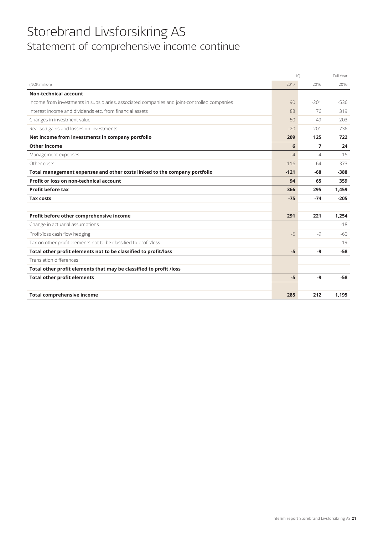## Storebrand Livsforsikring AS Statement of comprehensive income continue

|                                                                                              | 10     |        | Full Year |
|----------------------------------------------------------------------------------------------|--------|--------|-----------|
| (NOK million)                                                                                | 2017   | 2016   | 2016      |
| <b>Non-technical account</b>                                                                 |        |        |           |
| Income from investments in subsidiaries, associated companies and joint-controlled companies | 90     | $-201$ | $-536$    |
| Interest income and dividends etc. from financial assets                                     | 88     | 76     | 319       |
| Changes in investment value                                                                  | 50     | 49     | 203       |
| Realised gains and losses on investments                                                     | $-20$  | 201    | 736       |
| Net income from investments in company portfolio                                             | 209    | 125    | 722       |
| Other income                                                                                 | 6      | 7      | 24        |
| Management expenses                                                                          | $-4$   | -4     | $-15$     |
| Other costs                                                                                  | $-116$ | $-64$  | $-373$    |
| Total management expenses and other costs linked to the company portfolio                    | $-121$ | $-68$  | $-388$    |
| Profit or loss on non-technical account                                                      | 94     | 65     | 359       |
| <b>Profit before tax</b>                                                                     | 366    | 295    | 1,459     |
| <b>Tax costs</b>                                                                             | $-75$  | $-74$  | $-205$    |
|                                                                                              |        |        |           |
| Profit before other comprehensive income                                                     | 291    | 221    | 1,254     |
| Change in actuarial assumptions                                                              |        |        | $-18$     |
| Profit/loss cash flow hedging                                                                | $-5$   | $-9$   | $-60$     |
| Tax on other profit elements not to be classified to profit/loss                             |        |        | 19        |
| Total other profit elements not to be classified to profit/loss                              | $-5$   | -9     | $-58$     |
| <b>Translation differences</b>                                                               |        |        |           |
| Total other profit elements that may be classified to profit /loss                           |        |        |           |
| <b>Total other profit elements</b>                                                           | $-5$   | -9     | $-58$     |
|                                                                                              |        |        |           |
| <b>Total comprehensive income</b>                                                            | 285    | 212    | 1.195     |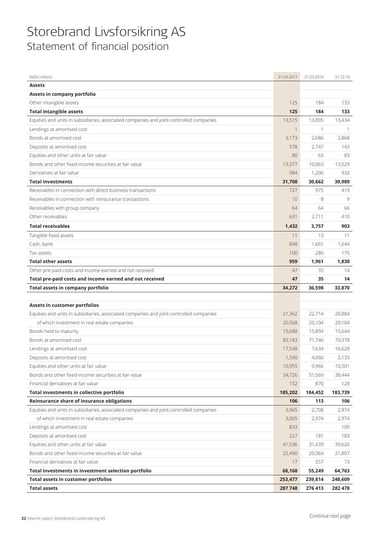## Storebrand Livsforsikring AS Statement of financial position

| (NOK million)                                                                           | 31.03.2017 | 31.03.2016 | 31.12.16 |
|-----------------------------------------------------------------------------------------|------------|------------|----------|
| <b>Assets</b>                                                                           |            |            |          |
| Assets in company portfolio                                                             |            |            |          |
| Other intangible assets                                                                 | 125        | 184        | 133      |
| <b>Total intangible assets</b>                                                          | 125        | 184        | 133      |
| Equities and units in subsidiaries, associated companies and joint-controlled companies | 13,515     | 13,895     | 13,434   |
| Lendings at amoritsed cost                                                              | 1          | 1          | 1        |
| Bonds at amortised cost                                                                 | 3,173      | 2,686      | 2,868    |
| Deposits at amoritsed cost                                                              | 578        | 2,747      | 143      |
| Equities and other units at fair value                                                  | 80         | 63         | 83       |
| Bonds and other fixed-income securities at fair value                                   | 13,377     | 10,063     | 13,529   |
| Derivatives at fair value                                                               | 984        | 1,206      | 932      |
| <b>Total investments</b>                                                                | 31,708     | 30,662     | 30,989   |
| Receivables in connection with direct business transactions                             | 727        | 975        | 419      |
| Receivables in connection with reinsurance transactions                                 | 10         | 8          | 9        |
| Receivables with group company                                                          | 64         | 64         | 66       |
| Other receivables                                                                       | 631        | 2,711      | 410      |
| <b>Total receivables</b>                                                                | 1,432      | 3,757      | 903      |
| Tangible fixed assets                                                                   | 11         | 13         | 11       |
| Cash, bank                                                                              | 848        | 1,661      | 1,644    |
| Tax assets                                                                              | 100        | 286        | 175      |
| <b>Total other assets</b>                                                               | 959        | 1,961      | 1,830    |
| Other pre-paid costs and income earned and not received                                 | 47         | 35         | 14       |
|                                                                                         | 47         | 35         | 14       |
| Total pre-paid costs and income earned and not received                                 |            |            |          |
| <b>Total assets in company portfolio</b>                                                | 34,272     | 36,598     | 33,870   |
|                                                                                         |            |            |          |
| Assets in customer portfolios                                                           |            |            |          |
| Equities and units in subsidiaries, associated companies and joint-controlled companies | 21,362     | 22,714     | 20,884   |
| of which investment in real estate companies                                            | 20,568     | 20,104     | 20,104   |
| Bonds held to maturity                                                                  | 15,688     | 15,894     | 15,644   |
| Bonds at amortised cost                                                                 | 83,183     | 71,746     | 79,378   |
| Lendings at amoritsed cost                                                              | 17,548     | 7,634      | 16,628   |
| Deposits at amoritsed cost                                                              | 1,590      | 4,060      | 2,133    |
| Equities and other units at fair value                                                  | 10,955     | 9,966      | 10,501   |
| Bonds and other fixed-income securities at fair value                                   | 34,726     | 51,569     | 38,444   |
| Financial derivatives at fair value                                                     | 152        | 870        | 128      |
| Total investments in collective portfolio                                               | 185,202    | 184,452    | 183,739  |
| Reinsurance share of insurance obligations                                              | 106        | 113        | 106      |
| Equities and units in subsidiaries, associated companies and joint-controlled companies | 3,065      | 2,708      | 2,974    |
| of which investment in real estate companies                                            | 3,065      | 2,974      | 2,974    |
| Lendings at amoritsed cost                                                              | 833        |            | 100      |
| Deposits at amoritsed cost                                                              | 227        | 181        | 183      |
| Equities and other units at fair value                                                  | 41,536     | 31,439     | 39,626   |
| Bonds and other fixed-income securities at fair value                                   | 22,490     | 20,364     | 21,807   |
| Financial derivatives at fair value                                                     | 17         | 557        | 73       |
| Total investments in investment selection portfolio                                     | 68,168     | 55,249     | 64,763   |
| <b>Total assets in customer portfolios</b>                                              | 253,477    | 239,814    | 248,609  |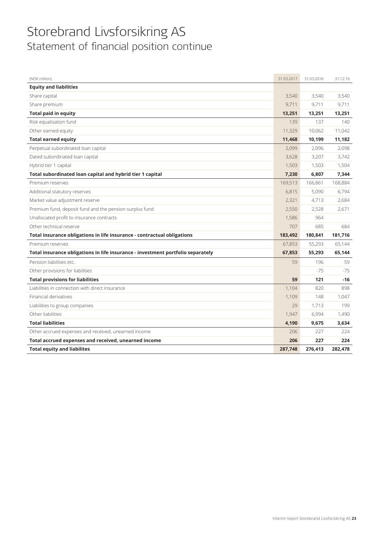## Storebrand Livsforsikring AS Statement of financial position continue

| (NOK million)                                                                   | 31.03.2017 | 31.03.2016 | 31.12.16 |
|---------------------------------------------------------------------------------|------------|------------|----------|
| <b>Equity and liabilities</b>                                                   |            |            |          |
| Share capital                                                                   | 3,540      | 3,540      | 3,540    |
| Share premium                                                                   | 9,711      | 9,711      | 9,711    |
| <b>Total paid in equity</b>                                                     | 13,251     | 13,251     | 13,251   |
| Risk equalisation fund                                                          | 139        | 137        | 140      |
| Other earned equity                                                             | 11,329     | 10,062     | 11,042   |
| <b>Total earned equity</b>                                                      | 11,468     | 10,199     | 11,182   |
| Perpetual subordinated loan capital                                             | 2,099      | 2,096      | 2,098    |
| Dated subordinated loan capital                                                 | 3,628      | 3,207      | 3,742    |
| Hybrid tier 1 capital                                                           | 1,503      | 1,503      | 1,504    |
| Total subordinated loan capital and hybrid tier 1 capital                       | 7,230      | 6,807      | 7,344    |
| Premium reserves                                                                | 169,513    | 166,861    | 168,884  |
| Additional statutory reserves                                                   | 6,815      | 5,090      | 6,794    |
| Market value adjustment reserve                                                 | 2,321      | 4,713      | 2,684    |
| Premium fund, deposit fund and the pension surplus fund                         | 2,550      | 2,528      | 2,671    |
| Unallocated profit to insurance contracts                                       | 1,586      | 964        |          |
| Other technical reserve                                                         | 707        | 685        | 684      |
| Total insurance obligations in life insurance - contractual obligations         | 183,492    | 180,841    | 181,716  |
| Premium reserves                                                                | 67,853     | 55,293     | 65,144   |
| Total insurance obligations in life insurance - investment portfolio separately | 67,853     | 55,293     | 65,144   |
| Pension liabilities etc.                                                        | 59         | 196        | 59       |
| Other provisions for liabilities                                                |            | $-75$      | $-75$    |
| <b>Total provisions for liabilities</b>                                         | 59         | 121        | $-16$    |
| Liabilities in connection with direct insurance                                 | 1,104      | 820        | 898      |
| Financial derivatives                                                           | 1,109      | 148        | 1,047    |
| Liabilities to group companies                                                  | 29         | 1,713      | 199      |
| Other liabilities                                                               | 1,947      | 6,994      | 1,490    |
| <b>Total liabilities</b>                                                        | 4,190      | 9,675      | 3,634    |
| Other accrued expenses and received, unearned income                            | 206        | 227        | 224      |
| Total accrued expenses and received, unearned income                            | 206        | 227        | 224      |
| <b>Total equity and liabilites</b>                                              | 287,748    | 276,413    | 282,478  |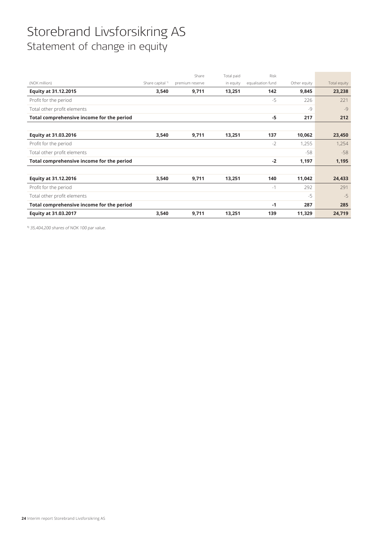## Storebrand Livsforsikring AS Statement of change in equity

|                                           |                             | Share           | Total paid | Risk              |              |              |
|-------------------------------------------|-----------------------------|-----------------|------------|-------------------|--------------|--------------|
| (NOK million)                             | Share capital <sup>1)</sup> | premium reserve | in equity  | equalisation fund | Other equity | Total equity |
| <b>Equity at 31.12.2015</b>               | 3,540                       | 9,711           | 13,251     | 142               | 9,845        | 23,238       |
| Profit for the period                     |                             |                 |            | $-5$              | 226          | 221          |
| Total other profit elements               |                             |                 |            |                   | $-9$         | $-9$         |
| Total comprehensive income for the period |                             |                 |            | $-5$              | 217          | 212          |
|                                           |                             |                 |            |                   |              |              |
| Equity at 31.03.2016                      | 3,540                       | 9,711           | 13,251     | 137               | 10,062       | 23,450       |
| Profit for the period                     |                             |                 |            | $-2$              | 1,255        | 1,254        |
| Total other profit elements               |                             |                 |            |                   | $-58$        | $-58$        |
| Total comprehensive income for the period |                             |                 |            | $-2$              | 1,197        | 1,195        |
|                                           |                             |                 |            |                   |              |              |
| Equity at 31.12.2016                      | 3,540                       | 9,711           | 13,251     | 140               | 11,042       | 24,433       |
| Profit for the period                     |                             |                 |            | $-1$              | 292          | 291          |
| Total other profit elements               |                             |                 |            |                   | $-5$         | $-5$         |
| Total comprehensive income for the period |                             |                 |            | $-1$              | 287          | 285          |
| Equity at 31.03.2017                      | 3,540                       | 9,711           | 13,251     | 139               | 11,329       | 24,719       |
|                                           |                             |                 |            |                   |              |              |

1) 35,404,200 shares of NOK 100 par value.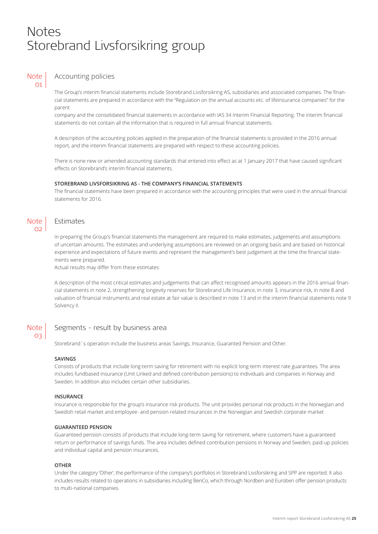## Notes Storebrand Livsforsikring group

### **Note**  $\Omega$

## Accounting policies

The Group's interim financial statements include Storebrand Livsforsikring AS, subsidiaries and associated companies. The financial statements are prepared in accordance with the "Regulation on the annual accounts etc. of lifeinsurance companies" for the parent

company and the consolidated financial statements in accordance with IAS 34 Interim Financial Reporting. The interim financial statements do not contain all the information that is required in full annual financial statements.

A description of the accounting policies applied in the preparation of the financial statements is provided in the 2016 annual report, and the interim financial statements are prepared with respect to these accounting policies.

There is none new or amended accounting standards that entered into effect as at 1 January 2017 that have caused significant effects on Storebrand's interim financial statements.

### **STOREBRAND LIVSFORSIKRING AS - THE COMPANY'S FINANCIAL STATEMENTS**

The financial statements have been prepared in accordance with the accounting principles that were used in the annual financial statements for 2016.

### **Note** 02

## Estimates

In preparing the Group's financial statements the management are required to make estimates, judgements and assumptions of uncertain amounts. The estimates and underlying assumptions are reviewed on an ongoing basis and are based on historical experience and expectations of future events and represent the management's best judgement at the time the financial statements were prepared.

Actual results may differ from these estimates

A description of the most critical estimates and judgements that can affect recognised amounts appears in the 2016 annual financial statements in note 2, strengthening longevity reserves for Storebrand Life Insurance, in note 3, insurance risk, in note 8 and valuation of financial instruments and real estate at fair value is described in note 13 and in the interim financial statements note 9 Solvency II.

### **Note** 03

### Segments - result by business area

Storebrand´s operation include the business areas Savings, Insurance, Guaranted Pension and Other.

### **SAVINGS**

Consists of products that include long-term saving for retirement with no explicit long-term interest rate guarantees. The area includes fundbased insurance (Unit Linked and defined contribution pensions) to individuals and companies in Norway and Sweden. In addition also includes certain other subsidiaries.

### **INSURANCE**

Insurance is responsible for the group's insurance risk products. The unit provides personal risk products in the Norwegian and Swedish retail market and employee- and pension-related insurances in the Norwegian and Swedish corporate market

### **GUARANTEED PENSION**

Guaranteed pension consists of products that include long-term saving for retirement, where customers have a guaranteed return or performance of savings funds. The area includes defined contribution pensions in Norway and Sweden, paid-up policies and individual capital and pension insurances.

### **OTHER**

Under the category 'Other', the performance of the company's portfolios in Storebrand Livsforsikring and SPP are reported. It also includes results related to operations in subsidiaries including BenCo, which through Nordben and Euroben offer pension products to multi-national companies.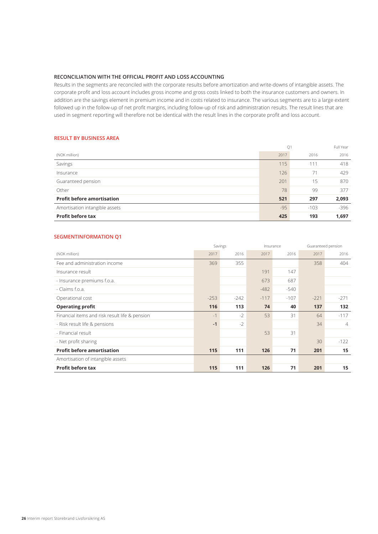### **RECONCILIATION WITH THE OFFICIAL PROFIT AND LOSS ACCOUNTING**

Results in the segments are reconciled with the corporate results before amortization and write-downs of intangible assets. The corporate profit and loss account includes gross income and gross costs linked to both the insurance customers and owners. In addition are the savings element in premium income and in costs related to insurance. The various segments are to a large extent followed up in the follow-up of net profit margins, including follow-up of risk and administration results. The result lines that are used in segment reporting will therefore not be identical with the result lines in the corporate profit and loss account.

### **RESULT BY BUSINESS AREA**

|                                   | Q1    |        | Full Year |
|-----------------------------------|-------|--------|-----------|
| (NOK million)                     | 2017  | 2016   | 2016      |
| Savings                           | 115   | 111    | 418       |
| Insurance                         | 126   | 71     | 429       |
| Guaranteed pension                | 201   | 15     | 870       |
| Other                             | 78    | 99     | 377       |
| <b>Profit before amortisation</b> | 521   | 297    | 2,093     |
| Amortisation intangible assets    | $-95$ | $-103$ | $-396$    |
| <b>Profit before tax</b>          | 425   | 193    | 1,697     |

### **SEGMENTINFORMATION Q1**

|                                                |        | Savings |        | Insurance |        | Guaranteed pension |
|------------------------------------------------|--------|---------|--------|-----------|--------|--------------------|
| (NOK million)                                  | 2017   | 2016    | 2017   | 2016      | 2017   | 2016               |
| Fee and administration income                  | 369    | 355     |        |           | 358    | 404                |
| Insurance result                               |        |         | 191    | 147       |        |                    |
| - Insurance premiums f.o.a.                    |        |         | 673    | 687       |        |                    |
| - Claims f.o.a.                                |        |         | $-482$ | $-540$    |        |                    |
| Operational cost                               | $-253$ | $-242$  | $-117$ | $-107$    | $-221$ | $-271$             |
| <b>Operating profit</b>                        | 116    | 113     | 74     | 40        | 137    | 132                |
| Financial items and risk result life & pension | $-1$   | $-2$    | 53     | 31        | 64     | $-117$             |
| - Risk result life & pensions                  | $-1$   | $-2$    |        |           | 34     | $\overline{4}$     |
| - Financial result                             |        |         | 53     | 31        |        |                    |
| - Net profit sharing                           |        |         |        |           | 30     | $-122$             |
| <b>Profit before amortisation</b>              | 115    | 111     | 126    | 71        | 201    | 15                 |
| Amortisation of intangible assets              |        |         |        |           |        |                    |
| <b>Profit before tax</b>                       | 115    | 111     | 126    | 71        | 201    | 15                 |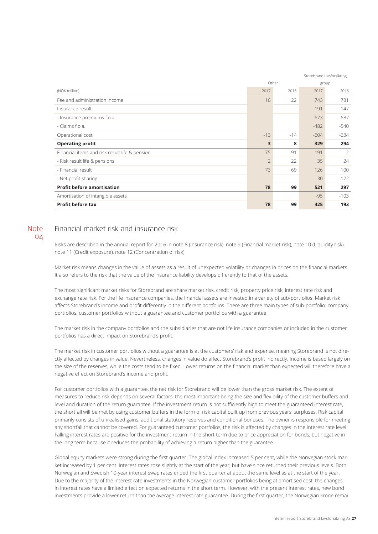|                                                | Storebrand Livsforsikring |       |        |        |
|------------------------------------------------|---------------------------|-------|--------|--------|
|                                                |                           | Other |        | group  |
| (NOK million)                                  | 2017                      | 2016  | 2017   | 2016   |
| Fee and administration income                  | 16                        | 22    | 743    | 781    |
| Insurance result                               |                           |       | 191    | 147    |
| - Insurance premiums f.o.a.                    |                           |       | 673    | 687    |
| - Claims f.o.a.                                |                           |       | $-482$ | $-540$ |
| Operational cost                               | $-13$                     | $-14$ | $-604$ | $-634$ |
| <b>Operating profit</b>                        | 3                         | 8     | 329    | 294    |
| Financial items and risk result life & pension | 75                        | 91    | 191    | 2      |
| - Risk result life & pensions                  | $\overline{2}$            | 22    | 35     | 24     |
| - Financial result                             | 73                        | 69    | 126    | 100    |
| - Net profit sharing                           |                           |       | 30     | $-122$ |
| <b>Profit before amortisation</b>              | 78                        | 99    | 521    | 297    |
| Amortisation of intangible assets              |                           |       | $-95$  | $-103$ |
| <b>Profit before tax</b>                       | 78                        | 99    | 425    | 193    |

### **Note**  $O<sub>4</sub>$

### Financial market risk and insurance risk

Risks are described in the annual report for 2016 in note 8 (Insurance risk), note 9 (Financial market risk), note 10 (Liquidity risk), note 11 (Credit exposure), note 12 (Concentration of risk).

Market risk means changes in the value of assets as a result of unexpected volatility or changes in prices on the financial markets. It also refers to the risk that the value of the insurance liability develops differently to that of the assets.

The most significant market risks for Storebrand are share market risk, credit risk, property price risk, interest rate risk and exchange rate risk. For the life insurance companies, the financial assets are invested in a variety of sub-portfolios. Market risk affects Storebrand's income and profit differently in the different portfolios. There are three main types of sub-portfolio: company portfolios, customer portfolios without a guarantee and customer portfolios with a guarantee.

The market risk in the company portfolios and the subsidiaries that are not life insurance companies or included in the customer portfolios has a direct impact on Storebrand's profit.

The market risk in customer portfolios without a guarantee is at the customers' risk and expense, meaning Storebrand is not directly affected by changes in value. Nevertheless, changes in value do affect Storebrand's profit indirectly. Income is based largely on the size of the reserves, while the costs tend to be fixed. Lower returns on the financial market than expected will therefore have a negative effect on Storebrand's income and profit.

For customer portfolios with a guarantee, the net risk for Storebrand will be lower than the gross market risk. The extent of measures to reduce risk depends on several factors, the most important being the size and flexibility of the customer buffers and level and duration of the return guarantee. If the investment return is not sufficiently high to meet the guaranteed interest rate, the shortfall will be met by using customer buffers in the form of risk capital built up from previous years' surpluses. Risk capital primarily consists of unrealised gains, additional statutory reserves and conditional bonuses. The owner is responsible for meeting any shortfall that cannot be covered. For guaranteed customer portfolios, the risk is affected by changes in the interest rate level. Falling interest rates are positive for the investment return in the short term due to price appreciation for bonds, but negative in the long term because it reduces the probability of achieving a return higher than the guarantee.

Global equity markets were strong during the first quarter. The global index increased 5 per cent, while the Norwegian stock market increased by 1 per cent. Interest rates rose slightly at the start of the year, but have since returned their previous levels. Both Norwegian and Swedish 10-year interest swap rates ended the first quarter at about the same level as at the start of the year. Due to the majority of the interest rate investments in the Norwegian customer portfolios being at amortised cost, the changes in interest rates have a limited effect on expected returns in the short term. However, with the present interest rates, new bond investments provide a lower return than the average interest rate guarantee. During the first quarter, the Norwegian krone remai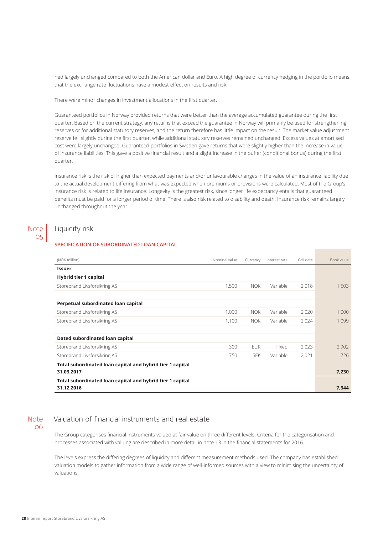ned largely unchanged compared to both the American dollar and Euro. A high degree of currency hedging in the portfolio means that the exchange rate fluctuations have a modest effect on results and risk.

There were minor changes in investment allocations in the first quarter.

Guaranteed portfolios in Norway provided returns that were better than the average accumulated guarantee during the first quarter. Based on the current strategy, any returns that exceed the guarantee in Norway will primarily be used for strengthening reserves or for additional statutory reserves, and the return therefore has little impact on the result. The market value adjustment reserve fell slightly during the first quarter, while additional statutory reserves remained unchanged. Excess values at amortised cost were largely unchanged. Guaranteed portfolios in Sweden gave returns that were slightly higher than the increase in value of insurance liabilities. This gave a positive financial result and a slight increase in the buffer (conditional bonus) during the first quarter.

Insurance risk is the risk of higher than expected payments and/or unfavourable changes in the value of an insurance liability due to the actual development differing from what was expected when premiums or provisions were calculated. Most of the Group's insurance risk is related to life insurance. Longevity is the greatest risk, since longer life expectancy entails that guaranteed benefits must be paid for a longer period of time. There is also risk related to disability and death. Insurance risk remains largely unchanged throughout the year.

#### Liquidity risk Note

05

### **SPECIFICATION OF SUBORDINATED LOAN CAPITAL**

| (NOK million)                                             | Nominal value | Currency   | Interest rate | Call date | Book value |
|-----------------------------------------------------------|---------------|------------|---------------|-----------|------------|
| <b>Issuer</b>                                             |               |            |               |           |            |
| <b>Hybrid tier 1 capital</b>                              |               |            |               |           |            |
| Storebrand Livsforsikring AS                              | 1,500         | <b>NOK</b> | Variable      | 2,018     | 1,503      |
|                                                           |               |            |               |           |            |
| Perpetual subordinated loan capital                       |               |            |               |           |            |
| Storebrand Livsforsikring AS                              | 1,000         | <b>NOK</b> | Variable      | 2,020     | 1.000      |
| Storebrand Livsforsikring AS                              | 1,100         | <b>NOK</b> | Variable      | 2,024     | 1,099      |
|                                                           |               |            |               |           |            |
| Dated subordinated loan capital                           |               |            |               |           |            |
| Storebrand Livsforsikring AS                              | 300           | <b>EUR</b> | Fixed         | 2,023     | 2.902      |
| Storebrand Livsforsikring AS                              | 750           | <b>SEK</b> | Variable      | 2,021     | 726        |
| Total subordinated loan capital and hybrid tier 1 capital |               |            |               |           |            |
| 31.03.2017                                                |               |            |               |           | 7,230      |
| Total subordinated loan capital and hybrid tier 1 capital |               |            |               |           |            |
| 31.12.2016                                                |               |            |               |           | 7,344      |

**Note** 06

## Valuation of financial instruments and real estate

The Group categorises financial instruments valued at fair value on three different levels. Criteria for the categorisation and processes associated with valuing are described in more detail in note 13 in the financial statements for 2016.

The levels express the differing degrees of liquidity and different measurement methods used. The company has established valuation models to gather information from a wide range of well-informed sources with a view to minimising the uncertainty of valuations.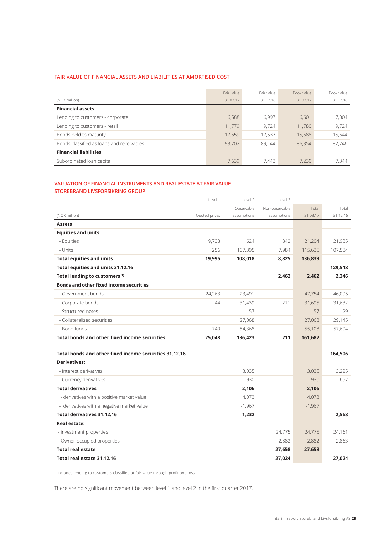### **FAIR VALUE OF FINANCIAL ASSETS AND LIABILITIES AT AMORTISED COST**

|                                           | Fair value | Fair value | Book value | Book value |
|-------------------------------------------|------------|------------|------------|------------|
| (NOK million)                             | 31.03.17   | 31.12.16   | 31.03.17   | 31.12.16   |
| <b>Financial assets</b>                   |            |            |            |            |
| Lending to customers - corporate          | 6,588      | 6.997      | 6.601      | 7.004      |
| Lending to customers - retail             | 11.779     | 9.724      | 11.780     | 9.724      |
| Bonds held to maturity                    | 17,659     | 17,537     | 15,688     | 15,644     |
| Bonds classified as loans and receivables | 93.202     | 89.144     | 86.354     | 82,246     |
| <b>Financial liabilities</b>              |            |            |            |            |
| Subordinated loan capital                 | 7.639      | 7.443      | 7.230      | 7.344      |

### **VALUATION OF FINANCIAL INSTRUMENTS AND REAL ESTATE AT FAIR VALUE STOREBRAND LIVSFORSIKRING GROUP**

|                                                        | Level 1       | Level 2     | Level 3        |          |          |
|--------------------------------------------------------|---------------|-------------|----------------|----------|----------|
|                                                        |               | Observable  | Non-observable | Total    | Total    |
| (NOK million)                                          | Quoted prices | assumptions | assumptions    | 31.03.17 | 31.12.16 |
| <b>Assets</b>                                          |               |             |                |          |          |
| <b>Equities and units</b>                              |               |             |                |          |          |
| - Equities                                             | 19,738        | 624         | 842            | 21,204   | 21,935   |
| - Units                                                | 256           | 107,395     | 7,984          | 115,635  | 107,584  |
| <b>Total equities and units</b>                        | 19,995        | 108,018     | 8,825          | 136,839  |          |
| Total equities and units 31.12.16                      |               |             |                |          | 129,518  |
| Total lending to customers <sup>1)</sup>               |               |             | 2,462          | 2,462    | 2,346    |
| <b>Bonds and other fixed income securities</b>         |               |             |                |          |          |
| - Government bonds                                     | 24,263        | 23,491      |                | 47,754   | 46,095   |
| - Corporate bonds                                      | 44            | 31,439      | 211            | 31,695   | 31,632   |
| - Structured notes                                     |               | 57          |                | 57       | 29       |
| - Collateralised securities                            |               | 27,068      |                | 27,068   | 29,145   |
| - Bond funds                                           | 740           | 54,368      |                | 55,108   | 57,604   |
| <b>Total bonds and other fixed income securities</b>   | 25,048        | 136,423     | 211            | 161,682  |          |
|                                                        |               |             |                |          |          |
| Total bonds and other fixed income securities 31.12.16 |               |             |                |          | 164,506  |
| <b>Derivatives:</b>                                    |               |             |                |          |          |
| - Interest derivatives                                 |               | 3,035       |                | 3,035    | 3,225    |
| - Currency derivatives                                 |               | $-930$      |                | $-930$   | $-657$   |
| <b>Total derivatives</b>                               |               | 2,106       |                | 2,106    |          |
| - derivatives with a positive market value             |               | 4,073       |                | 4,073    |          |
| - derivatives with a negative market value             |               | $-1,967$    |                | $-1,967$ |          |
| <b>Total derivatives 31.12.16</b>                      |               | 1,232       |                |          | 2,568    |
| <b>Real estate:</b>                                    |               |             |                |          |          |
| - investment properties                                |               |             | 24,775         | 24,775   | 24,161   |
| - Owner-occupied properties                            |               |             | 2,882          | 2,882    | 2,863    |
| <b>Total real estate</b>                               |               |             | 27,658         | 27,658   |          |
| Total real estate 31.12.16                             |               |             | 27,024         |          | 27.024   |

1) Includes lending to customers classified at fair value through profit and loss

There are no significant movement between level 1 and level 2 in the first quarter 2017.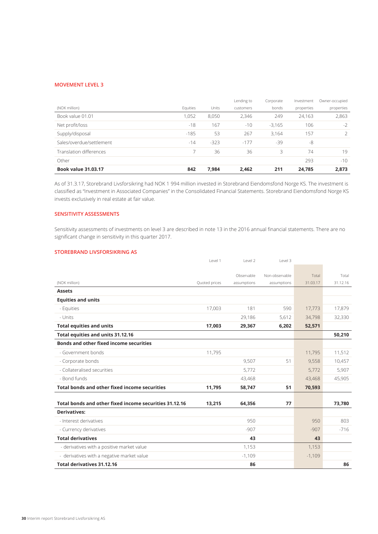### **MOVEMENT LEVEL 3**

|                            |          |        | Lending to | Corporate | Investment | Owner-occupied |
|----------------------------|----------|--------|------------|-----------|------------|----------------|
| (NOK million)              | Equities | Units  | customers  | bonds     | properties | properties     |
| Book value 01.01           | 1,052    | 8,050  | 2,346      | 249       | 24,163     | 2,863          |
| Net profit/loss            | $-18$    | 167    | $-10$      | $-3,165$  | 106        | $-2$           |
| Supply/disposal            | $-185$   | 53     | 267        | 3,164     | 157        | $\overline{2}$ |
| Sales/overdue/settlement   | $-14$    | $-323$ | $-177$     | $-39$     | -8         |                |
| Translation differences    |          | 36     | 36         | 3         | 74         | 19             |
| Other                      |          |        |            |           | 293        | $-10$          |
| <b>Book value 31.03.17</b> | 842      | 7,984  | 2,462      | 211       | 24,785     | 2,873          |

As of 31.3.17, Storebrand Livsforsikring had NOK 1 994 million invested in Storebrand Eiendomsfond Norge KS. The investment is classified as "Investment in Associated Companies" in the Consolidated Financial Statements. Storebrand Eiendomsfond Norge KS invests exclusively in real estate at fair value.

### **SENSITIVITY ASSESSMENTS**

Sensitivity assessments of investments on level 3 are described in note 13 in the 2016 annual financial statements. There are no significant change in sensitivity in this quarter 2017.

### **STOREBRAND LIVSFORSIKRING AS**

|                                                        | Level 1       | Level 2     | Level 3        |          |          |
|--------------------------------------------------------|---------------|-------------|----------------|----------|----------|
|                                                        |               |             |                |          |          |
|                                                        |               | Observable  | Non-observable | Total    | Total    |
| (NOK million)                                          | Quoted prices | assumptions | assumptions    | 31.03.17 | 31.12.16 |
| <b>Assets</b>                                          |               |             |                |          |          |
| <b>Equities and units</b>                              |               |             |                |          |          |
| - Equities                                             | 17,003        | 181         | 590            | 17,773   | 17,879   |
| - Units                                                |               | 29,186      | 5,612          | 34,798   | 32,330   |
| <b>Total equities and units</b>                        | 17,003        | 29,367      | 6,202          | 52,571   |          |
| Total equities and units 31.12.16                      |               |             |                |          | 50,210   |
| <b>Bonds and other fixed income securities</b>         |               |             |                |          |          |
| - Government bonds                                     | 11,795        |             |                | 11,795   | 11,512   |
| - Corporate bonds                                      |               | 9,507       | 51             | 9,558    | 10,457   |
| - Collateralised securities                            |               | 5,772       |                | 5,772    | 5,907    |
| - Bond funds                                           |               | 43,468      |                | 43,468   | 45,905   |
| <b>Total bonds and other fixed income securities</b>   | 11,795        | 58,747      | 51             | 70,593   |          |
|                                                        |               |             |                |          |          |
| Total bonds and other fixed income securities 31.12.16 | 13,215        | 64,356      | 77             |          | 73,780   |
| <b>Derivatives:</b>                                    |               |             |                |          |          |
| - Interest derivatives                                 |               | 950         |                | 950      | 803      |
| - Currency derivatives                                 |               | $-907$      |                | $-907$   | $-716$   |
| <b>Total derivatives</b>                               |               | 43          |                | 43       |          |
| - derivatives with a positive market value             |               | 1,153       |                | 1,153    |          |
| - derivatives with a negative market value             |               | $-1,109$    |                | $-1,109$ |          |
| Total derivatives 31.12.16                             |               | 86          |                |          | 86       |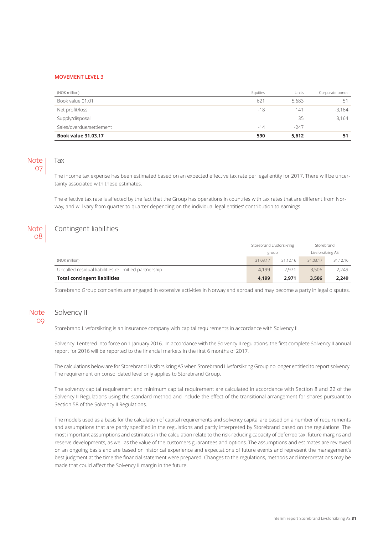#### **MOVEMENT LEVEL 3**

| (NOK million)              | Equities | Units  | Corporate bonds |
|----------------------------|----------|--------|-----------------|
| Book value 01.01           | 621      | 5,683  | 51              |
| Net profit/loss            | $-18$    | 141    | $-3,164$        |
| Supply/disposal            |          | 35     | 3,164           |
| Sales/overdue/settlement   | $-14$    | $-247$ |                 |
| <b>Book value 31.03.17</b> | 590      | 5,612  | 51              |

### Note 07

## Tax

The income tax expense has been estimated based on an expected effective tax rate per legal entity for 2017. There will be uncertainty associated with these estimates.

The effective tax rate is affected by the fact that the Group has operations in countries with tax rates that are different from Norway, and will vary from quarter to quarter depending on the individual legal entities' contribution to earnings.

#### Contingent liabilities **Note** 08

|                                                       |          | Storebrand Livsforsikring | Storebrand        |          |
|-------------------------------------------------------|----------|---------------------------|-------------------|----------|
|                                                       | group    |                           | Livsforsikring AS |          |
| (NOK million)                                         | 31.03.17 | 31.12.16                  | 31.03.17          | 31.12.16 |
| Uncalled residual liabilities re limitied partnership | 4.199    | 2.971                     | 3.506             | 2.249    |
| <b>Total contingent liabilities</b>                   | 4.199    | 2.971                     | 3.506             | 2,249    |

Storebrand Group companies are engaged in extensive activities in Norway and abroad and may become a party in legal disputes.

#### Solvency II Note 09

Storebrand Livsforsikring is an insurance company with capital requirements in accordance with Solvency II.

Solvency II entered into force on 1 January 2016. In accordance with the Solvency II regulations, the first complete Solvency II annual report for 2016 will be reported to the financial markets in the first 6 months of 2017.

The calculations below are for Storebrand Livsforsikring AS when Storebrand Livsforsikring Group no longer entitled to report solvency. The requirement on consolidated level only applies to Storebrand Group.

The solvency capital requirement and minimum capital requirement are calculated in accordance with Section 8 and 22 of the Solvency II Regulations using the standard method and include the effect of the transitional arrangement for shares pursuant to Section 58 of the Solvency II Regulations.

The models used as a basis for the calculation of capital requirements and solvency capital are based on a number of requirements and assumptions that are partly specified in the regulations and partly interpreted by Storebrand based on the regulations. The most important assumptions and estimates in the calculation relate to the risk-reducing capacity of deferred tax, future margins and reserve developments, as well as the value of the customers guarantees and options. The assumptions and estimates are reviewed on an ongoing basis and are based on historical experience and expectations of future events and represent the management's best judgment at the time the financial statement were prepared. Changes to the regulations, methods and interpretations may be made that could affect the Solvency II margin in the future.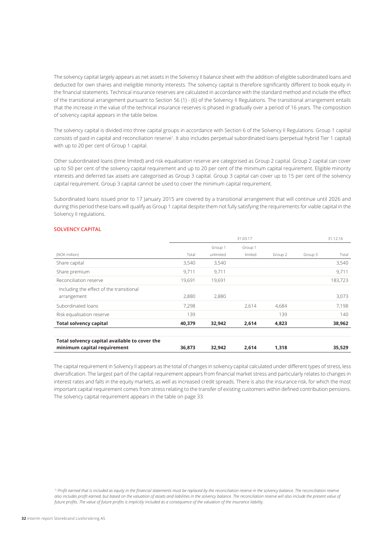The solvency capital largely appears as net assets in the Solvency II balance sheet with the addition of eligible subordinated loans and deducted for own shares and ineligible minority interests. The solvency capital is therefore significantly different to book equity in the financial statements. Technical insurance reserves are calculated in accordance with the standard method and include the effect of the transitional arrangement pursuant to Section 56 (1) - (6) of the Solvency II Regulations. The transitional arrangement entails that the increase in the value of the technical insurance reserves is phased in gradually over a period of 16 years. The composition of solvency capital appears in the table below.

The solvency capital is divided into three capital groups in accordance with Section 6 of the Solvency II Regulations. Group 1 capital consists of paid-in capital and reconciliation reserve<sup>1</sup>. It also includes perpetual subordinated loans (perpetual hybrid Tier 1 capital) with up to 20 per cent of Group 1 capital.

Other subordinated loans (time limited) and risk equalisation reserve are categorised as Group 2 capital. Group 2 capital can cover up to 50 per cent of the solvency capital requirement and up to 20 per cent of the minimum capital requirement. Eligible minority interests and deferred tax assets are categorised as Group 3 capital. Group 3 capital can cover up to 15 per cent of the solvency capital requirement. Group 3 capital cannot be used to cover the minimum capital requirement.

Subordinated loans issued prior to 17 January 2015 are covered by a transitional arrangement that will continue until 2026 and during this period these loans will qualify as Group 1 capital despite them not fully satisfying the requirements for viable capital in the Solvency II regulations.

|                                               | 31.03.17 |           |         |         |         | 31.12.16 |
|-----------------------------------------------|----------|-----------|---------|---------|---------|----------|
|                                               |          | Group 1   | Group 1 |         |         |          |
| (NOK million)                                 | Total    | unlimited | limited | Group 2 | Group 3 | Total    |
| Share capital                                 | 3,540    | 3,540     |         |         |         | 3,540    |
| Share premium                                 | 9,711    | 9.711     |         |         |         | 9,711    |
| Reconciliation reserve                        | 19,691   | 19,691    |         |         |         | 183,723  |
| Including the effect of the transitional      |          |           |         |         |         |          |
| arrangement                                   | 2,880    | 2,880     |         |         |         | 3,073    |
| Subordinated loans                            | 7,298    |           | 2.614   | 4,684   |         | 7.198    |
| Risk equalisation reserve                     | 139      |           |         | 139     |         | 140      |
| <b>Total solvency capital</b>                 | 40,379   | 32,942    | 2,614   | 4,823   |         | 38,962   |
| Total solvency capital available to cover the |          |           |         |         |         |          |
| minimum capital requirement                   | 36,873   | 32,942    | 2,614   | 1,318   |         | 35,529   |

### **SOLVENCY CAPITAL**

The capital requirement in Solvency II appears as the total of changes in solvency capital calculated under different types of stress, less diversification. The largest part of the capital requirement appears from financial market stress and particularly relates to changes in interest rates and falls in the equity markets, as well as increased credit spreads. There is also the insurance risk, for which the most important capital requirement comes from stress relating to the transfer of existing customers within defined contribution pensions. The solvency capital requirement appears in the table on page 33.

<sup>1)</sup> Profit earned that is included as equity in the financial statements must be replaced by the reconciliation reserve in the solvency balance. The reconciliation reserve *also includes profit earned, but based on the valuation of assets and liabilities in the solvency balance. The reconciliation reserve will also include the present value of future profits. The value of future profits is implicitly included as a consequence of the valuation of the insurance liability.*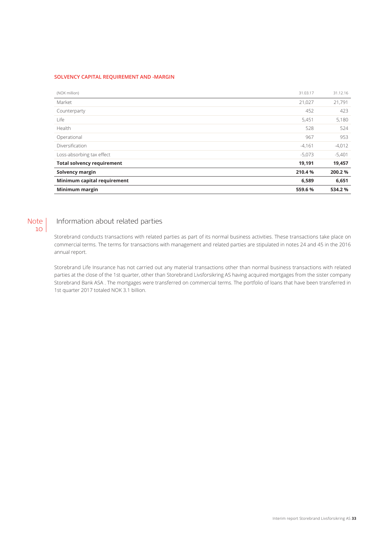### **SOLVENCY CAPITAL REQUIREMENT AND -MARGIN**

| Minimum margin                    | 559.6%   | 534.2 %  |
|-----------------------------------|----------|----------|
| Minimum capital requirement       | 6,589    | 6,651    |
| Solvency margin                   | 210.4%   | 200.2%   |
| <b>Total solvency requirement</b> | 19,191   | 19,457   |
| Loss-absorbing tax effect         | $-5,073$ | $-5,401$ |
| Diversification                   | $-4,161$ | $-4,012$ |
| Operational                       | 967      | 953      |
| Health                            | 528      | 524      |
| Life                              | 5,451    | 5,180    |
| Counterparty                      | 452      | 423      |
| Market                            | 21,027   | 21,791   |
| (NOK million)                     | 31.03.17 | 31.12.16 |

### Note 10

## Information about related parties

Storebrand conducts transactions with related parties as part of its normal business activities. These transactions take place on commercial terms. The terms for transactions with management and related parties are stipulated in notes 24 and 45 in the 2016 annual report.

Storebrand Life Insurance has not carried out any material transactions other than normal business transactions with related parties at the close of the 1st quarter, other than Storebrand Livsforsikring AS having acquired mortgages from the sister company Storebrand Bank ASA . The mortgages were transferred on commercial terms. The portfolio of loans that have been transferred in 1st quarter 2017 totaled NOK 3.1 billion.